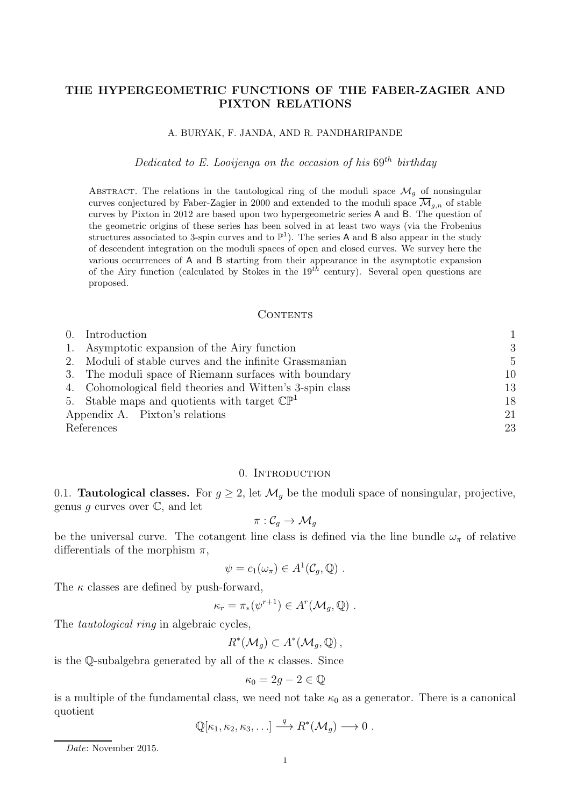# THE HYPERGEOMETRIC FUNCTIONS OF THE FABER-ZAGIER AND PIXTON RELATIONS

### A. BURYAK, F. JANDA, AND R. PANDHARIPANDE

Dedicated to E. Looijenga on the occasion of his  $69<sup>th</sup>$  birthday

ABSTRACT. The relations in the tautological ring of the moduli space  $\mathcal{M}_g$  of nonsingular curves conjectured by Faber-Zagier in 2000 and extended to the moduli space  $\overline{\mathcal{M}}_{g,n}$  of stable curves by Pixton in 2012 are based upon two hypergeometric series A and B. The question of the geometric origins of these series has been solved in at least two ways (via the Frobenius structures associated to 3-spin curves and to  $\mathbb{P}^1$ ). The series A and B also appear in the study of descendent integration on the moduli spaces of open and closed curves. We survey here the various occurrences of A and B starting from their appearance in the asymptotic expansion of the Airy function (calculated by Stokes in the  $19^{th}$  century). Several open questions are proposed.

#### CONTENTS

| Introduction                                              |                |
|-----------------------------------------------------------|----------------|
| 1. Asymptotic expansion of the Airy function              | 3              |
| 2. Moduli of stable curves and the infinite Grassmanian   | $\overline{5}$ |
| 3. The moduli space of Riemann surfaces with boundary     | 10             |
| 4. Cohomological field theories and Witten's 3-spin class | 13             |
| 5. Stable maps and quotients with target $\mathbb{CP}^1$  | 18             |
| Appendix A. Pixton's relations                            | 21             |
| References                                                | 23             |

#### 0. Introduction

0.1. **Tautological classes.** For  $g \geq 2$ , let  $\mathcal{M}_g$  be the moduli space of nonsingular, projective, genus g curves over  $\mathbb{C}$ , and let

$$
\pi:\mathcal{C}_g\rightarrow \mathcal{M}_g
$$

be the universal curve. The cotangent line class is defined via the line bundle  $\omega_{\pi}$  of relative differentials of the morphism  $\pi$ ,

$$
\psi = c_1(\omega_\pi) \in A^1(\mathcal{C}_g, \mathbb{Q}) \ .
$$

The  $\kappa$  classes are defined by push-forward,

$$
\kappa_r = \pi_*(\psi^{r+1}) \in A^r(\mathcal{M}_g, \mathbb{Q}) \ .
$$

The *tautological ring* in algebraic cycles,

$$
R^*(\mathcal{M}_g) \subset A^*(\mathcal{M}_g, \mathbb{Q}),
$$

is the Q-subalgebra generated by all of the  $\kappa$  classes. Since

$$
\kappa_0 = 2g - 2 \in \mathbb{Q}
$$

is a multiple of the fundamental class, we need not take  $\kappa_0$  as a generator. There is a canonical quotient

$$
\mathbb{Q}[\kappa_1,\kappa_2,\kappa_3,\ldots]\stackrel{q}{\longrightarrow}R^*(\mathcal{M}_g)\longrightarrow 0.
$$

Date: November 2015.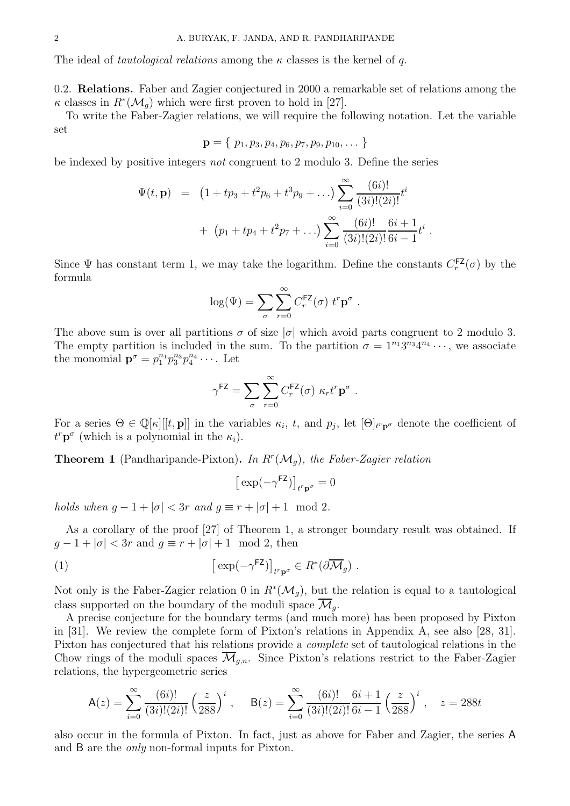The ideal of *tautological relations* among the  $\kappa$  classes is the kernel of q.

0.2. Relations. Faber and Zagier conjectured in 2000 a remarkable set of relations among the  $\kappa$  classes in  $R^*(\mathcal{M}_g)$  which were first proven to hold in [27].

To write the Faber-Zagier relations, we will require the following notation. Let the variable set

$$
\mathbf{p} = \{p_1, p_3, p_4, p_6, p_7, p_9, p_{10}, \dots\}
$$

be indexed by positive integers not congruent to 2 modulo 3. Define the series

$$
\Psi(t, \mathbf{p}) = (1 + tp_3 + t^2 p_6 + t^3 p_9 + ...) \sum_{i=0}^{\infty} \frac{(6i)!}{(3i)!(2i)!} t^i
$$
  
+ 
$$
(p_1 + tp_4 + t^2 p_7 + ...) \sum_{i=0}^{\infty} \frac{(6i)!}{(3i)!(2i)!} \frac{6i+1}{6i-1} t^i.
$$

Since  $\Psi$  has constant term 1, we may take the logarithm. Define the constants  $C_r^{\text{FZ}}$  $r^{\mathsf{FZ}}(\sigma)$  by the formula

$$
\log(\Psi) = \sum_{\sigma} \sum_{r=0}^{\infty} C_r^{\mathsf{FZ}}(\sigma) \; t^r \mathbf{p}^{\sigma} \; .
$$

The above sum is over all partitions  $\sigma$  of size  $|\sigma|$  which avoid parts congruent to 2 modulo 3. The empty partition is included in the sum. To the partition  $\sigma = 1^{n_1}3^{n_3}4^{n_4}\cdots$ , we associate the monomial  $\mathbf{p}^{\sigma} = p_1^{n_1} p_3^{n_3} p_4^{n_4} \cdots$ . Let

$$
\gamma^{\text{FZ}} = \sum_{\sigma} \sum_{r=0}^{\infty} C_r^{\text{FZ}}(\sigma) \kappa_r t^r \mathbf{p}^{\sigma} .
$$

For a series  $\Theta \in \mathbb{Q}[\kappa][[t, \mathbf{p}]]$  in the variables  $\kappa_i$ , t, and  $p_j$ , let  $[\Theta]_{t^r \mathbf{p}^\sigma}$  denote the coefficient of  $t^r \mathbf{p}^{\sigma}$  (which is a polynomial in the  $\kappa_i$ ).

**Theorem 1** (Pandharipande-Pixton). In  $R^r(\mathcal{M}_g)$ , the Faber-Zagier relation

$$
\big[\exp(-\gamma^{\text{FZ}})\big]_{t^r\mathbf{p}^\sigma}=0
$$

holds when  $q - 1 + |\sigma| < 3r$  and  $q \equiv r + |\sigma| + 1 \mod 2$ .

As a corollary of the proof [27] of Theorem 1, a stronger boundary result was obtained. If  $g-1+|\sigma| < 3r$  and  $g \equiv r+|\sigma|+1 \mod 2$ , then

(1) 
$$
\left[ \exp(-\gamma^{\text{FZ}}) \right]_{t^r \mathbf{p}^\sigma} \in R^*(\partial \overline{\mathcal{M}}_g) .
$$

Not only is the Faber-Zagier relation 0 in  $R^*(\mathcal{M}_g)$ , but the relation is equal to a tautological class supported on the boundary of the moduli space  $\overline{\mathcal{M}}_q$ .

A precise conjecture for the boundary terms (and much more) has been proposed by Pixton in [31]. We review the complete form of Pixton's relations in Appendix A, see also [28, 31]. Pixton has conjectured that his relations provide a complete set of tautological relations in the Chow rings of the moduli spaces  $\mathcal{M}_{g,n}$ . Since Pixton's relations restrict to the Faber-Zagier relations, the hypergeometric series

$$
\mathsf{A}(z) = \sum_{i=0}^{\infty} \frac{(6i)!}{(3i)!(2i)!} \left(\frac{z}{288}\right)^i, \quad \mathsf{B}(z) = \sum_{i=0}^{\infty} \frac{(6i)!}{(3i)!(2i)!} \frac{6i+1}{6i-1} \left(\frac{z}{288}\right)^i, \quad z = 288t
$$

also occur in the formula of Pixton. In fact, just as above for Faber and Zagier, the series A and B are the only non-formal inputs for Pixton.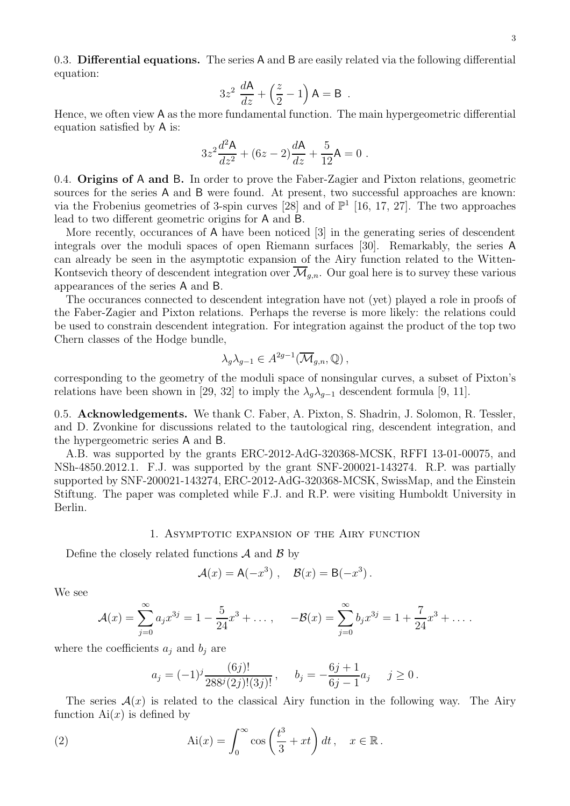0.3. Differential equations. The series A and B are easily related via the following differential equation:

$$
3z^2 \frac{dA}{dz} + \left(\frac{z}{2} - 1\right) A = B.
$$

Hence, we often view A as the more fundamental function. The main hypergeometric differential equation satisfied by A is:

$$
3z^{2}\frac{d^{2}\mathsf{A}}{dz^{2}} + (6z - 2)\frac{d\mathsf{A}}{dz} + \frac{5}{12}\mathsf{A} = 0.
$$

0.4. Origins of A and B. In order to prove the Faber-Zagier and Pixton relations, geometric sources for the series A and B were found. At present, two successful approaches are known: via the Frobenius geometries of 3-spin curves [28] and of  $\mathbb{P}^1$  [16, 17, 27]. The two approaches lead to two different geometric origins for A and B.

More recently, occurances of A have been noticed [3] in the generating series of descendent integrals over the moduli spaces of open Riemann surfaces [30]. Remarkably, the series A can already be seen in the asymptotic expansion of the Airy function related to the Witten-Kontsevich theory of descendent integration over  $\overline{\mathcal{M}}_{q,n}$ . Our goal here is to survey these various appearances of the series A and B.

The occurances connected to descendent integration have not (yet) played a role in proofs of the Faber-Zagier and Pixton relations. Perhaps the reverse is more likely: the relations could be used to constrain descendent integration. For integration against the product of the top two Chern classes of the Hodge bundle,

$$
\lambda_g \lambda_{g-1} \in A^{2g-1}(\overline{\mathcal{M}}_{g,n}, \mathbb{Q}),
$$

corresponding to the geometry of the moduli space of nonsingular curves, a subset of Pixton's relations have been shown in [29, 32] to imply the  $\lambda_q \lambda_{q-1}$  descendent formula [9, 11].

0.5. Acknowledgements. We thank C. Faber, A. Pixton, S. Shadrin, J. Solomon, R. Tessler, and D. Zvonkine for discussions related to the tautological ring, descendent integration, and the hypergeometric series A and B.

A.B. was supported by the grants ERC-2012-AdG-320368-MCSK, RFFI 13-01-00075, and NSh-4850.2012.1. F.J. was supported by the grant SNF-200021-143274. R.P. was partially supported by SNF-200021-143274, ERC-2012-AdG-320368-MCSK, SwissMap, and the Einstein Stiftung. The paper was completed while F.J. and R.P. were visiting Humboldt University in Berlin.

### 1. Asymptotic expansion of the Airy function

Define the closely related functions  $A$  and  $B$  by

$$
\mathcal{A}(x) = \mathsf{A}(-x^3) , \quad \mathcal{B}(x) = \mathsf{B}(-x^3) .
$$

We see

$$
\mathcal{A}(x) = \sum_{j=0}^{\infty} a_j x^{3j} = 1 - \frac{5}{24} x^3 + \dots, \quad -\mathcal{B}(x) = \sum_{j=0}^{\infty} b_j x^{3j} = 1 + \frac{7}{24} x^3 + \dots
$$

where the coefficients  $a_j$  and  $b_j$  are

$$
a_j = (-1)^j \frac{(6j)!}{288^j (2j)!(3j)!}, \quad b_j = -\frac{6j+1}{6j-1} a_j \quad j \ge 0.
$$

The series  $\mathcal{A}(x)$  is related to the classical Airy function in the following way. The Airy function  $Ai(x)$  is defined by

(2) 
$$
\text{Ai}(x) = \int_0^\infty \cos\left(\frac{t^3}{3} + xt\right) dt, \quad x \in \mathbb{R}.
$$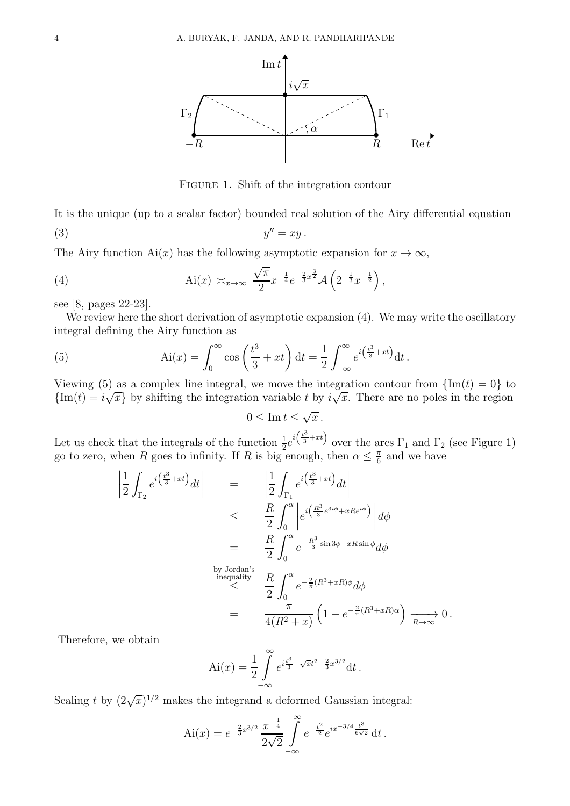

FIGURE 1. Shift of the integration contour

It is the unique (up to a scalar factor) bounded real solution of the Airy differential equation  $(y)$  y  $y'' = xy$ .

The Airy function Ai(x) has the following asymptotic expansion for  $x \to \infty$ ,

(4) 
$$
\text{Ai}(x) \approx_{x \to \infty} \frac{\sqrt{\pi}}{2} x^{-\frac{1}{4}} e^{-\frac{2}{3}x^{\frac{3}{2}}} \mathcal{A}\left(2^{-\frac{1}{3}} x^{-\frac{1}{2}}\right),
$$

see [8, pages 22-23].

We review here the short derivation of asymptotic expansion  $(4)$ . We may write the oscillatory integral defining the Airy function as

(5) 
$$
Ai(x) = \int_0^\infty cos\left(\frac{t^3}{3} + xt\right) dt = \frac{1}{2} \int_{-\infty}^\infty e^{i\left(\frac{t^3}{3} + xt\right)} dt.
$$

Viewing (5) as a complex line integral, we move the integration contour from  $\{\text{Im}(t) = 0\}$  to  ${\rm Im}(t) = i\sqrt{x}$  by shifting the integration variable t by  $i\sqrt{x}$ . There are no poles in the region

$$
0\leq \operatorname{Im} t\leq \sqrt{x}\,.
$$

Let us check that the integrals of the function  $\frac{1}{2}e^{i(\frac{t^3}{3}+xt)}$  over the arcs  $\Gamma_1$  and  $\Gamma_2$  (see Figure 1) go to zero, when R goes to infinity. If R is big enough, then  $\alpha \leq \frac{\pi}{6}$  $\frac{\pi}{6}$  and we have

$$
\begin{aligned}\n\left| \frac{1}{2} \int_{\Gamma_2} e^{i \left( \frac{t^3}{3} + xt \right)} dt \right| &= \left| \frac{1}{2} \int_{\Gamma_1} e^{i \left( \frac{t^3}{3} + xt \right)} dt \right| \\
&\leq \left| \frac{R}{2} \int_0^\alpha \left| e^{i \left( \frac{R^3}{3} e^{3i\phi} + xRe^{i\phi} \right)} \right| d\phi \right| \\
&= \left| \frac{R}{2} \int_0^\alpha e^{-\frac{R^3}{3} \sin 3\phi - xR \sin \phi} d\phi \right| \\
&\text{by Jordan's inequality} \quad \frac{R}{2} \int_0^\alpha e^{-\frac{2}{\pi} (R^3 + xR) \phi} d\phi \\
&= \left| \frac{\pi}{4(R^2 + x)} \left( 1 - e^{-\frac{2}{\pi} (R^3 + xR) \alpha} \right) \xrightarrow[R \to \infty]{} 0.\n\end{aligned}
$$

Therefore, we obtain

$$
\text{Ai}(x) = \frac{1}{2} \int_{-\infty}^{\infty} e^{i\frac{t^3}{3} - \sqrt{x}t^2 - \frac{2}{3}x^{3/2}} \text{d}t.
$$

Scaling t by  $(2\sqrt{x})^{1/2}$  makes the integrand a deformed Gaussian integral:

$$
\text{Ai}(x) = e^{-\frac{2}{3}x^{3/2}} \frac{x^{-\frac{1}{4}}}{2\sqrt{2}} \int_{-\infty}^{\infty} e^{-\frac{t^2}{2}} e^{ix^{-3/4} \frac{t^3}{6\sqrt{2}}} dt.
$$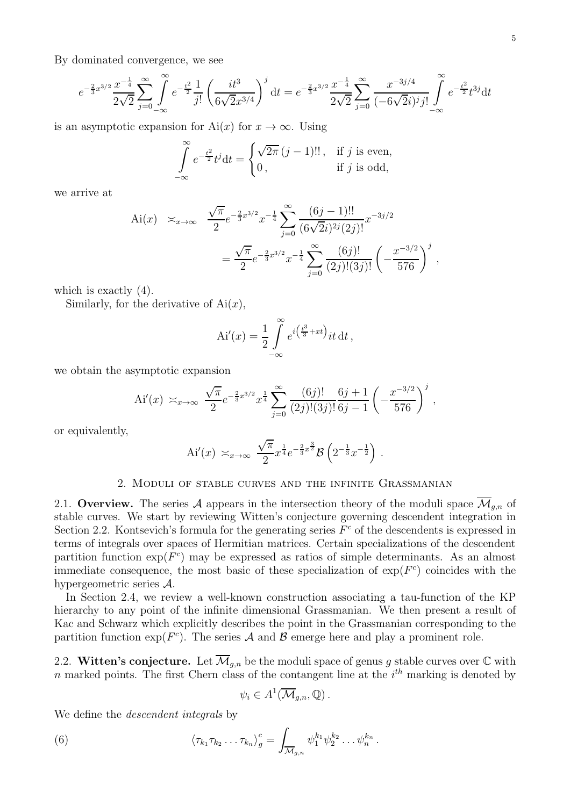By dominated convergence, we see

$$
e^{-\frac{2}{3}x^{3/2}}\frac{x^{-\frac{1}{4}}}{2\sqrt{2}}\sum_{j=0}^{\infty}\int_{-\infty}^{\infty}e^{-\frac{t^2}{2}}\frac{1}{j!}\left(\frac{it^3}{6\sqrt{2}x^{3/4}}\right)^j dt = e^{-\frac{2}{3}x^{3/2}}\frac{x^{-\frac{1}{4}}}{2\sqrt{2}}\sum_{j=0}^{\infty}\frac{x^{-3j/4}}{(-6\sqrt{2}i)^j j!}\int_{-\infty}^{\infty}e^{-\frac{t^2}{2}}t^{3j}dt
$$

is an asymptotic expansion for Ai(x) for  $x \to \infty$ . Using

$$
\int_{-\infty}^{\infty} e^{-\frac{t^2}{2}} t^j dt = \begin{cases} \sqrt{2\pi} (j-1)!!, & \text{if } j \text{ is even,} \\ 0, & \text{if } j \text{ is odd,} \end{cases}
$$

we arrive at

Ai(x) 
$$
\approx_{x \to \infty}
$$
  $\frac{\sqrt{\pi}}{2} e^{-\frac{2}{3}x^{3/2}} x^{-\frac{1}{4}} \sum_{j=0}^{\infty} \frac{(6j-1)!!}{(6\sqrt{2}i)^{2j}(2j)!} x^{-3j/2}$   

$$
= \frac{\sqrt{\pi}}{2} e^{-\frac{2}{3}x^{3/2}} x^{-\frac{1}{4}} \sum_{j=0}^{\infty} \frac{(6j)!}{(2j)!(3j)!} \left(-\frac{x^{-3/2}}{576}\right)^j,
$$

which is exactly (4).

Similarly, for the derivative of  $Ai(x)$ ,

$$
Ai'(x) = \frac{1}{2} \int_{-\infty}^{\infty} e^{i\left(\frac{t^3}{3} + xt\right)} it \, dt,
$$

we obtain the asymptotic expansion

Ai'(x) 
$$
\times_{x\to\infty} \frac{\sqrt{\pi}}{2} e^{-\frac{2}{3}x^{3/2}} x^{\frac{1}{4}} \sum_{j=0}^{\infty} \frac{(6j)!}{(2j)!(3j)!} \frac{6j+1}{6j-1} \left(-\frac{x^{-3/2}}{576}\right)^j
$$
,

or equivalently,

Ai'(x) 
$$
\times_{x\to\infty} \frac{\sqrt{\pi}}{2} x^{\frac{1}{4}} e^{-\frac{2}{3}x^{\frac{3}{2}}} \mathcal{B} \left( 2^{-\frac{1}{3}} x^{-\frac{1}{2}} \right).
$$

#### 2. Moduli of stable curves and the infinite Grassmanian

2.1. Overview. The series A appears in the intersection theory of the moduli space  $\overline{\mathcal{M}}_{q,n}$  of stable curves. We start by reviewing Witten's conjecture governing descendent integration in Section 2.2. Kontsevich's formula for the generating series  $F<sup>c</sup>$  of the descendents is expressed in terms of integrals over spaces of Hermitian matrices. Certain specializations of the descendent partition function  $\exp(F^c)$  may be expressed as ratios of simple determinants. As an almost immediate consequence, the most basic of these specialization of  $\exp(F^c)$  coincides with the hypergeometric series A.

In Section 2.4, we review a well-known construction associating a tau-function of the KP hierarchy to any point of the infinite dimensional Grassmanian. We then present a result of Kac and Schwarz which explicitly describes the point in the Grassmanian corresponding to the partition function  $\exp(F^c)$ . The series A and B emerge here and play a prominent role.

2.2. Witten's conjecture. Let  $\overline{\mathcal{M}}_{g,n}$  be the moduli space of genus g stable curves over  $\mathbb C$  with n marked points. The first Chern class of the contangent line at the  $i<sup>th</sup>$  marking is denoted by

$$
\psi_i \in A^1(\overline{\mathcal{M}}_{g,n}, \mathbb{Q})\,.
$$

We define the *descendent* integrals by

(6) 
$$
\langle \tau_{k_1} \tau_{k_2} \dots \tau_{k_n} \rangle_g^c = \int_{\overline{\mathcal{M}}_{g,n}} \psi_1^{k_1} \psi_2^{k_2} \dots \psi_n^{k_n}.
$$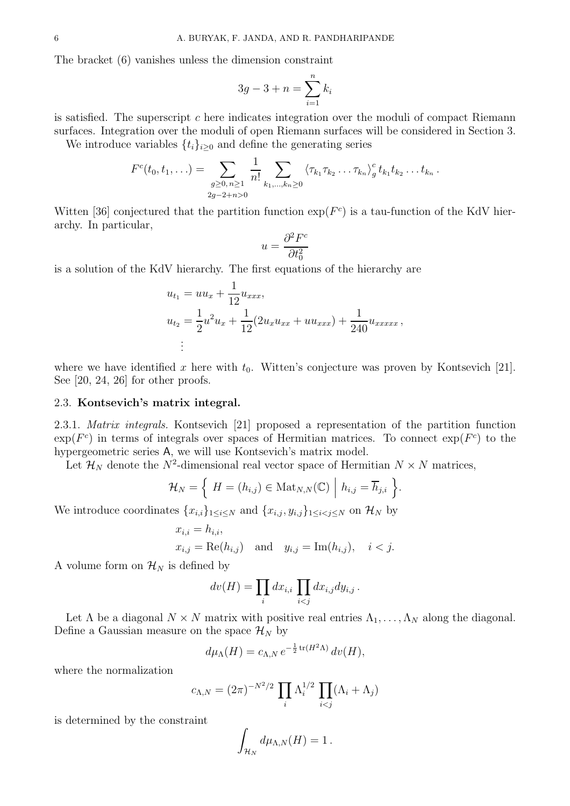The bracket (6) vanishes unless the dimension constraint

$$
3g - 3 + n = \sum_{i=1}^{n} k_i
$$

is satisfied. The superscript c here indicates integration over the moduli of compact Riemann surfaces. Integration over the moduli of open Riemann surfaces will be considered in Section 3.

We introduce variables  $\{t_i\}_{i\geq 0}$  and define the generating series

$$
F^{c}(t_{0}, t_{1}, \ldots) = \sum_{\substack{g \geq 0, n \geq 1 \\ 2g-2+n>0}} \frac{1}{n!} \sum_{k_{1}, \ldots, k_{n} \geq 0} \langle \tau_{k_{1}} \tau_{k_{2}} \ldots \tau_{k_{n}} \rangle_{g}^{c} t_{k_{1}} t_{k_{2}} \ldots t_{k_{n}}
$$

.

Witten [36] conjectured that the partition function  $\exp(F^c)$  is a tau-function of the KdV hierarchy. In particular,

$$
u = \frac{\partial^2 F^c}{\partial t_0^2}
$$

is a solution of the KdV hierarchy. The first equations of the hierarchy are

$$
u_{t_1} = uu_x + \frac{1}{12}u_{xxx},
$$
  
\n
$$
u_{t_2} = \frac{1}{2}u^2u_x + \frac{1}{12}(2u_xu_{xx} + uu_{xxx}) + \frac{1}{240}u_{xxxxx},
$$
  
\n
$$
\vdots
$$

where we have identified x here with  $t_0$ . Witten's conjecture was proven by Kontsevich [21]. See [20, 24, 26] for other proofs.

### 2.3. Kontsevich's matrix integral.

2.3.1. Matrix integrals. Kontsevich [21] proposed a representation of the partition function  $\exp(F^c)$  in terms of integrals over spaces of Hermitian matrices. To connect  $\exp(F^c)$  to the hypergeometric series A, we will use Kontsevich's matrix model.

Let  $\mathcal{H}_N$  denote the  $N^2$ -dimensional real vector space of Hermitian  $N \times N$  matrices,

$$
\mathcal{H}_N = \left\{ \ H = (h_{i,j}) \in \text{Mat}_{N,N}(\mathbb{C}) \ \Big| \ h_{i,j} = \overline{h}_{j,i} \ \right\}.
$$

We introduce coordinates  ${x_{i,i}}_{1\leq i\leq N}$  and  ${x_{i,j}, y_{i,j}}_{1\leq i\leq j\leq N}$  on  $\mathcal{H}_N$  by

$$
x_{i,i} = h_{i,i},
$$
  
\n $x_{i,j} = \text{Re}(h_{i,j})$  and  $y_{i,j} = \text{Im}(h_{i,j}), i < j.$ 

A volume form on  $\mathcal{H}_N$  is defined by

$$
dv(H) = \prod_i dx_{i,i} \prod_{i < j} dx_{i,j} dy_{i,j} \, .
$$

Let  $\Lambda$  be a diagonal  $N \times N$  matrix with positive real entries  $\Lambda_1, \ldots, \Lambda_N$  along the diagonal. Define a Gaussian measure on the space  $\mathcal{H}_N$  by

$$
d\mu_{\Lambda}(H) = c_{\Lambda,N} e^{-\frac{1}{2}\text{tr}(H^2\Lambda)} dv(H),
$$

where the normalization

$$
c_{\Lambda,N} = (2\pi)^{-N^2/2} \prod_i \Lambda_i^{1/2} \prod_{i < j} (\Lambda_i + \Lambda_j)
$$

is determined by the constraint

$$
\int_{\mathcal{H}_N} d\mu_{\Lambda,N}(H) = 1\,.
$$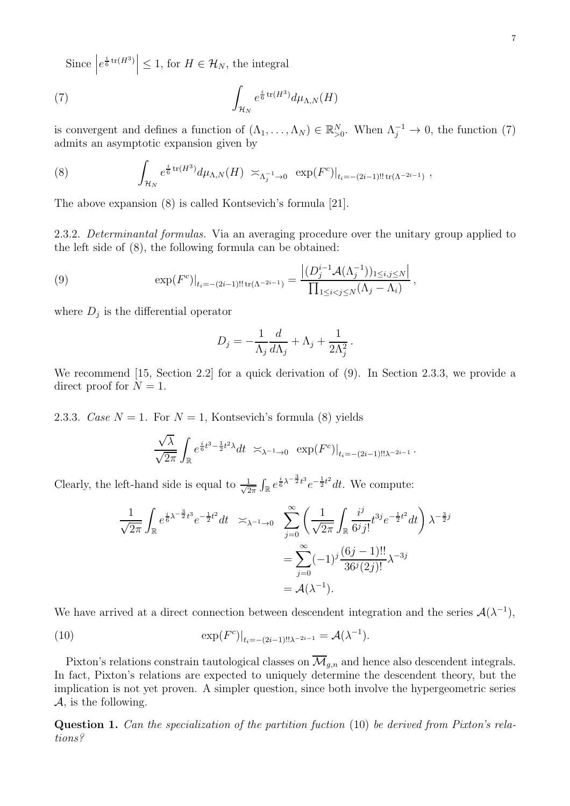Since  $\left| e^{\frac{i}{6}\text{tr}(H^3)} \right| \leq 1$ , for  $H \in \mathcal{H}_N$ , the integral

(7) 
$$
\int_{\mathcal{H}_N} e^{\frac{i}{6} \operatorname{tr}(H^3)} d\mu_{\Lambda,N}(H)
$$

is convergent and defines a function of  $(\Lambda_1, \ldots, \Lambda_N) \in \mathbb{R}_{>0}^N$ . When  $\Lambda_j^{-1} \to 0$ , the function (7) admits an asymptotic expansion given by

(8) 
$$
\int_{\mathcal{H}_N} e^{\frac{i}{6}\text{tr}(H^3)} d\mu_{\Lambda,N}(H) \asymp_{\Lambda_j^{-1}\to 0} \exp(F^c)|_{t_i=-(2i-1)!! \text{tr}(\Lambda^{-2i-1})},
$$

The above expansion (8) is called Kontsevich's formula [21].

2.3.2. Determinantal formulas. Via an averaging procedure over the unitary group applied to the left side of (8), the following formula can be obtained:

(9) 
$$
\exp(F^c)|_{t_i = -(2i-1)!! \operatorname{tr}(\Lambda^{-2i-1})} = \frac{\left| (D_j^{i-1} \mathcal{A}(\Lambda_j^{-1}))_{1 \le i,j \le N} \right|}{\prod_{1 \le i < j \le N} (\Lambda_j - \Lambda_i)},
$$

where  $D_j$  is the differential operator

$$
D_j = -\frac{1}{\Lambda_j} \frac{d}{d\Lambda_j} + \Lambda_j + \frac{1}{2\Lambda_j^2}.
$$

We recommend [15, Section 2.2] for a quick derivation of (9). In Section 2.3.3, we provide a direct proof for  $N = 1$ .

2.3.3. Case  $N = 1$ . For  $N = 1$ , Kontsevich's formula (8) yields

$$
\frac{\sqrt{\lambda}}{\sqrt{2\pi}}\int_{\mathbb{R}}e^{\frac{i}{6}t^3-\frac{1}{2}t^2\lambda}dt \;\asymp_{\lambda^{-1}\to 0} \; \exp(F^c)|_{t_i=-(2i-1)!!\lambda^{-2i-1}}.
$$

Clearly, the left-hand side is equal to  $\frac{1}{\sqrt{2}}$  $\frac{1}{2\pi} \int_{\mathbb{R}} e^{\frac{i}{6}\lambda^{-\frac{3}{2}}t^3} e^{-\frac{1}{2}t^2} dt$ . We compute:

$$
\frac{1}{\sqrt{2\pi}} \int_{\mathbb{R}} e^{\frac{i}{6}\lambda^{-\frac{3}{2}}t^{3}} e^{-\frac{1}{2}t^{2}} dt \quad \asymp_{\lambda^{-1}\to 0} \quad \sum_{j=0}^{\infty} \left( \frac{1}{\sqrt{2\pi}} \int_{\mathbb{R}} \frac{i^{j}}{6^{j}j!} t^{3j} e^{-\frac{1}{2}t^{2}} dt \right) \lambda^{-\frac{3}{2}j} \n= \sum_{j=0}^{\infty} (-1)^{j} \frac{(6j-1)!!}{36^{j}(2j)!} \lambda^{-3j} \n= \mathcal{A}(\lambda^{-1}).
$$

We have arrived at a direct connection between descendent integration and the series  $\mathcal{A}(\lambda^{-1})$ ,

(10) 
$$
\exp(F^{c})|_{t_{i} = -(2i-1)!!\lambda^{-2i-1}} = \mathcal{A}(\lambda^{-1}).
$$

Pixton's relations constrain tautological classes on  $\overline{\mathcal{M}}_{q,n}$  and hence also descendent integrals. In fact, Pixton's relations are expected to uniquely determine the descendent theory, but the implication is not yet proven. A simpler question, since both involve the hypergeometric series A, is the following.

Question 1. Can the specialization of the partition fuction (10) be derived from Pixton's relations?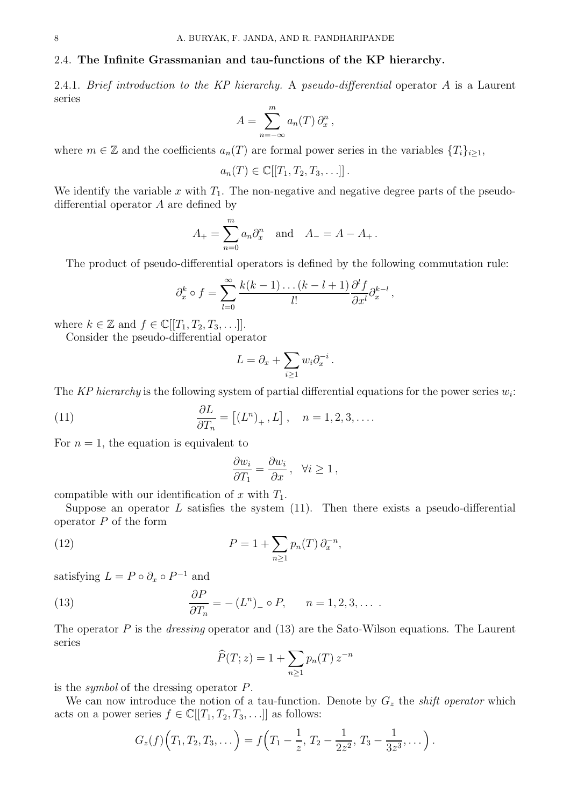# 2.4. The Infinite Grassmanian and tau-functions of the KP hierarchy.

2.4.1. Brief introduction to the KP hierarchy. A pseudo-differential operator A is a Laurent series

$$
A = \sum_{n=-\infty}^{m} a_n(T) \partial_x^n,
$$

where  $m \in \mathbb{Z}$  and the coefficients  $a_n(T)$  are formal power series in the variables  $\{T_i\}_{i\geq 1}$ ,

$$
a_n(T) \in \mathbb{C}[[T_1, T_2, T_3, \ldots]].
$$

We identify the variable x with  $T_1$ . The non-negative and negative degree parts of the pseudodifferential operator A are defined by

$$
A_{+} = \sum_{n=0}^{m} a_{n} \partial_{x}^{n}
$$
 and  $A_{-} = A - A_{+}$ .

The product of pseudo-differential operators is defined by the following commutation rule:

$$
\partial_x^k \circ f = \sum_{l=0}^{\infty} \frac{k(k-1)\dots(k-l+1)}{l!} \frac{\partial^l f}{\partial x^l} \partial_x^{k-l} ,
$$

where  $k \in \mathbb{Z}$  and  $f \in \mathbb{C}[[T_1, T_2, T_3, \ldots]].$ 

Consider the pseudo-differential operator

$$
L = \partial_x + \sum_{i \ge 1} w_i \partial_x^{-i}.
$$

The KP hierarchy is the following system of partial differential equations for the power series  $w_i$ :

(11) 
$$
\frac{\partial L}{\partial T_n} = [(L^n)_+, L], \quad n = 1, 2, 3, ....
$$

For  $n = 1$ , the equation is equivalent to

$$
\frac{\partial w_i}{\partial T_1} = \frac{\partial w_i}{\partial x}, \quad \forall i \ge 1,
$$

compatible with our identification of x with  $T_1$ .

Suppose an operator  $L$  satisfies the system  $(11)$ . Then there exists a pseudo-differential operator  $P$  of the form

(12) 
$$
P = 1 + \sum_{n \ge 1} p_n(T) \partial_x^{-n},
$$

satisfying  $L = P \circ \partial_x \circ P^{-1}$  and

(13) 
$$
\frac{\partial P}{\partial T_n} = -(L^n)_\circ P, \qquad n = 1, 2, 3, \dots
$$

The operator  $P$  is the *dressing* operator and (13) are the Sato-Wilson equations. The Laurent series

$$
\widehat{P}(T;z) = 1 + \sum_{n \ge 1} p_n(T) z^{-n}
$$

is the symbol of the dressing operator P.

We can now introduce the notion of a tau-function. Denote by  $G<sub>z</sub>$  the *shift operator* which acts on a power series  $f \in \mathbb{C}[[T_1, T_2, T_3, \ldots]]$  as follows:

$$
G_z(f)\Big(T_1,T_2,T_3,\dots\Big)=f\Big(T_1-\frac{1}{z},\,T_2-\frac{1}{2z^2},\,T_3-\frac{1}{3z^3},\dots\Big)\,.
$$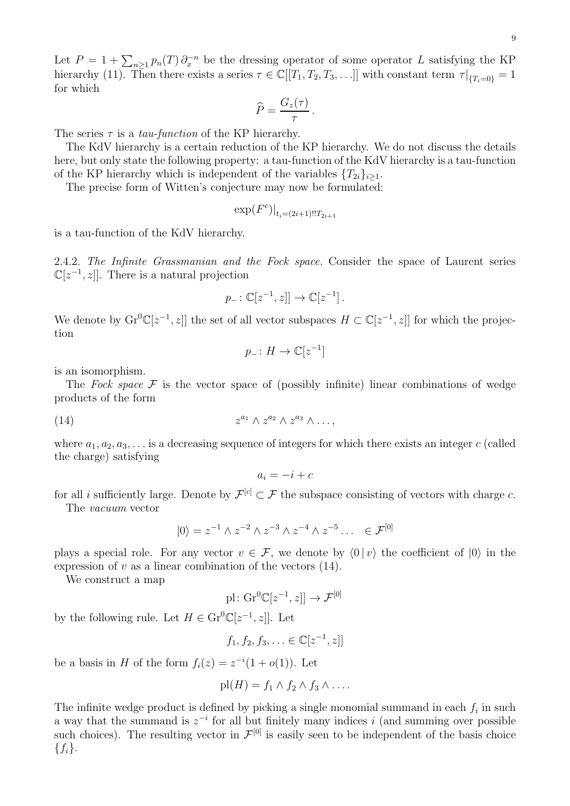9

Let  $P = 1 + \sum_{n \geq 1} p_n(T) \partial_x^{-n}$  be the dressing operator of some operator L satisfying the KP hierarchy (11). Then there exists a series  $\tau \in \mathbb{C}[[T_1, T_2, T_3, \ldots]]$  with constant term  $\tau|_{\{T_i=0\}}=1$ for which

$$
\widehat{P} = \frac{G_z(\tau)}{\tau}.
$$

The series  $\tau$  is a *tau-function* of the KP hierarchy.

The KdV hierarchy is a certain reduction of the KP hierarchy. We do not discuss the details here, but only state the following property: a tau-function of the KdV hierarchy is a tau-function of the KP hierarchy which is independent of the variables  $\{T_{2i}\}_{i\geq 1}$ .

The precise form of Witten's conjecture may now be formulated:

$$
\exp(F^c)|_{t_i=(2i+1)!!T_{2i+1}}
$$

is a tau-function of the KdV hierarchy.

2.4.2. The Infinite Grassmanian and the Fock space. Consider the space of Laurent series  $\mathbb{C}[z^{-1}, z]$ . There is a natural projection

$$
p_{-} \colon \mathbb{C}[z^{-1}, z] \to \mathbb{C}[z^{-1}].
$$

We denote by  $\mathrm{Gr}^0\mathbb{C}[z^{-1},z]$  the set of all vector subspaces  $H \subset \mathbb{C}[z^{-1},z]$  for which the projection tion

$$
p_- \colon H \to \mathbb{C}[z^{-1}]
$$

is an isomorphism.

The Fock space  $\mathcal F$  is the vector space of (possibly infinite) linear combinations of wedge products of the form

$$
(14) \t\t\t z^{a_1} \wedge z^{a_2} \wedge z^{a_3} \wedge \ldots,
$$

where  $a_1, a_2, a_3, \ldots$  is a decreasing sequence of integers for which there exists an integer c (called the charge) satisfying

$$
a_i = -i + c
$$

for all *i* sufficiently large. Denote by  $\mathcal{F}^{[c]} \subset \mathcal{F}$  the subspace consisting of vectors with charge c. The vacuum vector

$$
|0\rangle = z^{-1} \wedge z^{-2} \wedge z^{-3} \wedge z^{-4} \wedge z^{-5} \dots \in \mathcal{F}^{[0]}
$$

plays a special role. For any vector  $v \in \mathcal{F}$ , we denote by  $\langle 0 | v \rangle$  the coefficient of  $|0\rangle$  in the expression of  $v$  as a linear combination of the vectors  $(14)$ .

We construct a map

$$
\text{pl} \colon \text{Gr}^0\mathbb{C}[z^{-1}, z]] \to \mathcal{F}^{[0]}
$$

by the following rule. Let  $H \in \mathrm{Gr}^0\mathbb{C}[z^{-1}, z]$ . Let

$$
f_1, f_2, f_3, \ldots \in \mathbb{C}[z^{-1}, z]]
$$

be a basis in H of the form  $f_i(z) = z^{-i}(1 + o(1))$ . Let

$$
pl(H) = f_1 \wedge f_2 \wedge f_3 \wedge \ldots
$$

The infinite wedge product is defined by picking a single monomial summand in each  $f_i$  in such a way that the summand is  $z^{-i}$  for all but finitely many indices i (and summing over possible such choices). The resulting vector in  $\mathcal{F}^{[0]}$  is easily seen to be independent of the basis choice  ${f_i}.$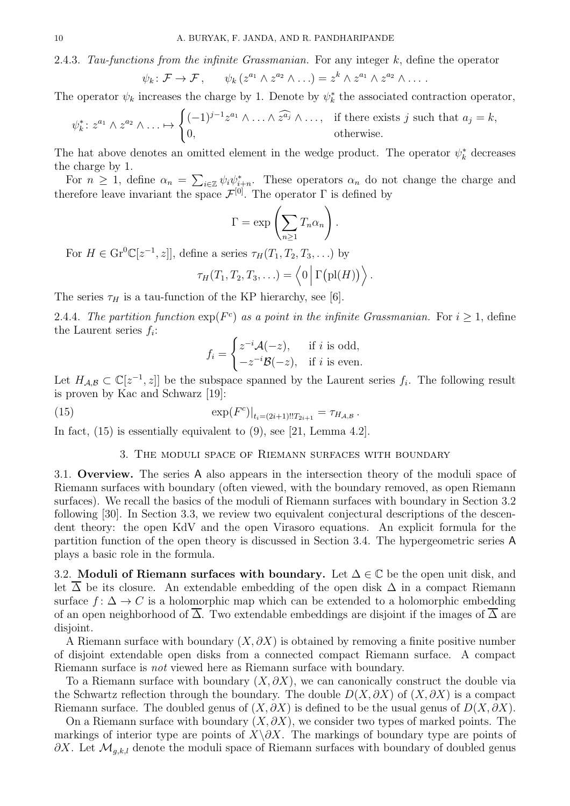2.4.3. Tau-functions from the infinite Grassmanian. For any integer  $k$ , define the operator

$$
\psi_k \colon \mathcal{F} \to \mathcal{F}, \qquad \psi_k(z^{a_1} \wedge z^{a_2} \wedge \ldots) = z^k \wedge z^{a_1} \wedge z^{a_2} \wedge \ldots
$$

The operator  $\psi_k$  increases the charge by 1. Denote by  $\psi_k^*$  the associated contraction operator,

$$
\psi_k^* \colon z^{a_1} \wedge z^{a_2} \wedge \ldots \mapsto \begin{cases} (-1)^{j-1} z^{a_1} \wedge \ldots \wedge \widehat{z^{a_j}} \wedge \ldots, & \text{if there exists } j \text{ such that } a_j = k, \\ 0, & \text{otherwise.} \end{cases}
$$

The hat above denotes an omitted element in the wedge product. The operator  $\psi_k^*$  decreases the charge by 1.

For  $n \geq 1$ , define  $\alpha_n = \sum_{i \in \mathbb{Z}} \psi_i \psi_{i+n}^*$ . These operators  $\alpha_n$  do not change the charge and therefore leave invariant the space  $\mathcal{F}^{[0]}$ . The operator  $\Gamma$  is defined by

$$
\Gamma = \exp\left(\sum_{n\geq 1} T_n \alpha_n\right).
$$

For  $H \in \text{Gr}^0\mathbb{C}[z^{-1}, z]$ , define a series  $\tau_H(T_1, T_2, T_3, \ldots)$  by

$$
\tau_H(T_1,T_2,T_3,\ldots)=\left\langle0\,\Big|\,\Gamma\big(\mathrm{pl}(H)\big)\right\rangle.
$$

The series  $\tau_H$  is a tau-function of the KP hierarchy, see [6].

2.4.4. The partition function  $exp(F<sup>c</sup>)$  as a point in the infinite Grassmanian. For  $i \geq 1$ , define the Laurent series  $f_i$ :

$$
f_i = \begin{cases} z^{-i} \mathcal{A}(-z), & \text{if } i \text{ is odd,} \\ -z^{-i} \mathcal{B}(-z), & \text{if } i \text{ is even.} \end{cases}
$$

Let  $H_{\mathcal{A},\mathcal{B}} \subset \mathbb{C}[z^{-1},z]$  be the subspace spanned by the Laurent series  $f_i$ . The following result is proven by Kac and Schwarz [19]:

.

(15) 
$$
\exp(F^{c})|_{t_{i}=(2i+1)!!T_{2i+1}}=\tau_{H_{\mathcal{A},\mathcal{B}}}
$$

In fact, (15) is essentially equivalent to (9), see [21, Lemma 4.2].

### 3. The moduli space of Riemann surfaces with boundary

3.1. Overview. The series A also appears in the intersection theory of the moduli space of Riemann surfaces with boundary (often viewed, with the boundary removed, as open Riemann surfaces). We recall the basics of the moduli of Riemann surfaces with boundary in Section 3.2 following [30]. In Section 3.3, we review two equivalent conjectural descriptions of the descendent theory: the open KdV and the open Virasoro equations. An explicit formula for the partition function of the open theory is discussed in Section 3.4. The hypergeometric series A plays a basic role in the formula.

3.2. Moduli of Riemann surfaces with boundary. Let  $\Delta \in \mathbb{C}$  be the open unit disk, and let  $\Delta$  be its closure. An extendable embedding of the open disk  $\Delta$  in a compact Riemann surface  $f: \Delta \to C$  is a holomorphic map which can be extended to a holomorphic embedding of an open neighborhood of  $\overline{\Delta}$ . Two extendable embeddings are disjoint if the images of  $\overline{\Delta}$  are disjoint.

A Riemann surface with boundary  $(X, \partial X)$  is obtained by removing a finite positive number of disjoint extendable open disks from a connected compact Riemann surface. A compact Riemann surface is not viewed here as Riemann surface with boundary.

To a Riemann surface with boundary  $(X, \partial X)$ , we can canonically construct the double via the Schwartz reflection through the boundary. The double  $D(X, \partial X)$  of  $(X, \partial X)$  is a compact Riemann surface. The doubled genus of  $(X, \partial X)$  is defined to be the usual genus of  $D(X, \partial X)$ .

On a Riemann surface with boundary  $(X, \partial X)$ , we consider two types of marked points. The markings of interior type are points of  $X\setminus\partial X$ . The markings of boundary type are points of  $\partial X$ . Let  $\mathcal{M}_{q,k,l}$  denote the moduli space of Riemann surfaces with boundary of doubled genus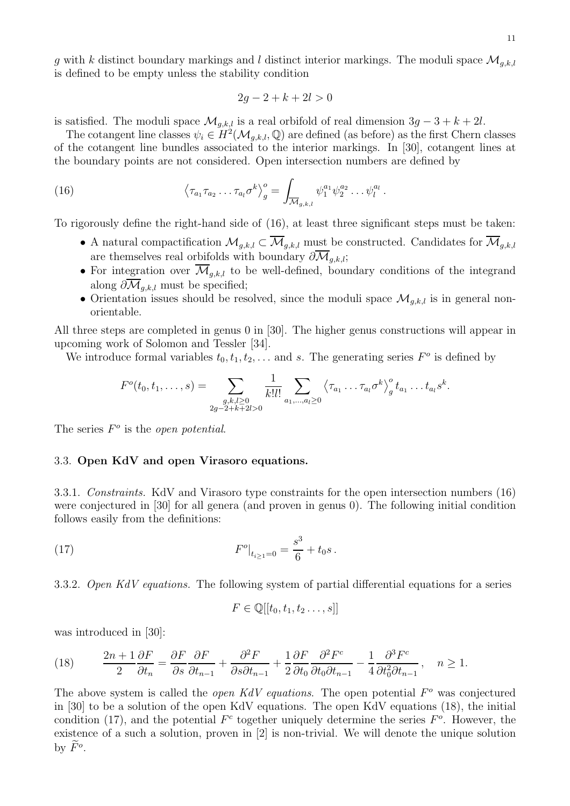g with k distinct boundary markings and l distinct interior markings. The moduli space  $\mathcal{M}_{q,k,l}$ is defined to be empty unless the stability condition

$$
2g - 2 + k + 2l > 0
$$

is satisfied. The moduli space  $\mathcal{M}_{q,k,l}$  is a real orbifold of real dimension  $3g - 3 + k + 2l$ .

The cotangent line classes  $\psi_i \in H^2(\mathcal{M}_{g,k,l}, \mathbb{Q})$  are defined (as before) as the first Chern classes of the cotangent line bundles associated to the interior markings. In [30], cotangent lines at the boundary points are not considered. Open intersection numbers are defined by

(16) 
$$
\left\langle \tau_{a_1} \tau_{a_2} \dots \tau_{a_l} \sigma^k \right\rangle_g^o = \int_{\overline{\mathcal{M}}_{g,k,l}} \psi_1^{a_1} \psi_2^{a_2} \dots \psi_l^{a_l}.
$$

To rigorously define the right-hand side of (16), at least three significant steps must be taken:

- A natural compactification  $\mathcal{M}_{g,k,l} \subset \overline{\mathcal{M}}_{g,k,l}$  must be constructed. Candidates for  $\overline{\mathcal{M}}_{g,k,l}$ are themselves real orbifolds with boundary  $\partial \overline{\mathcal{M}}_{g,k,l}$ ;
- For integration over  $\overline{\mathcal{M}}_{g,k,l}$  to be well-defined, boundary conditions of the integrand along  $\partial \mathcal{M}_{q,k,l}$  must be specified;
- Orientation issues should be resolved, since the moduli space  $\mathcal{M}_{q,k,l}$  is in general nonorientable.

All three steps are completed in genus 0 in [30]. The higher genus constructions will appear in upcoming work of Solomon and Tessler [34].

We introduce formal variables  $t_0, t_1, t_2, \ldots$  and s. The generating series  $F^o$  is defined by

$$
F^{o}(t_{0}, t_{1}, \ldots, s) = \sum_{\substack{g,k,l \geq 0 \\ 2g-2+k+2l>0}} \frac{1}{k!l!} \sum_{a_{1}, \ldots, a_{l} \geq 0} \left\langle \tau_{a_{1}} \ldots \tau_{a_{l}} \sigma^{k} \right\rangle_{g}^{o} t_{a_{1}} \ldots t_{a_{l}} s^{k}.
$$

The series  $F^o$  is the *open potential*.

## 3.3. Open KdV and open Virasoro equations.

3.3.1. Constraints. KdV and Virasoro type constraints for the open intersection numbers (16) were conjectured in [30] for all genera (and proven in genus 0). The following initial condition follows easily from the definitions:

(17) 
$$
F^{o}|_{t_{i\geq 1}=0} = \frac{s^3}{6} + t_0 s.
$$

3.3.2. Open KdV equations. The following system of partial differential equations for a series

$$
F \in \mathbb{Q}[[t_0, t_1, t_2 \dots, s]]
$$

was introduced in [30]:

(18) 
$$
\frac{2n+1}{2}\frac{\partial F}{\partial t_n} = \frac{\partial F}{\partial s}\frac{\partial F}{\partial t_{n-1}} + \frac{\partial^2 F}{\partial s \partial t_{n-1}} + \frac{1}{2}\frac{\partial F}{\partial t_0}\frac{\partial^2 F^c}{\partial t_0 \partial t_{n-1}} - \frac{1}{4}\frac{\partial^3 F^c}{\partial t_0^2 \partial t_{n-1}}, \quad n \ge 1.
$$

The above system is called the *open KdV equations*. The open potential  $F<sup>o</sup>$  was conjectured in [30] to be a solution of the open KdV equations. The open KdV equations (18), the initial condition (17), and the potential  $F<sup>c</sup>$  together uniquely determine the series  $F<sup>o</sup>$ . However, the existence of a such a solution, proven in [2] is non-trivial. We will denote the unique solution by  $\tilde{F}^o$ .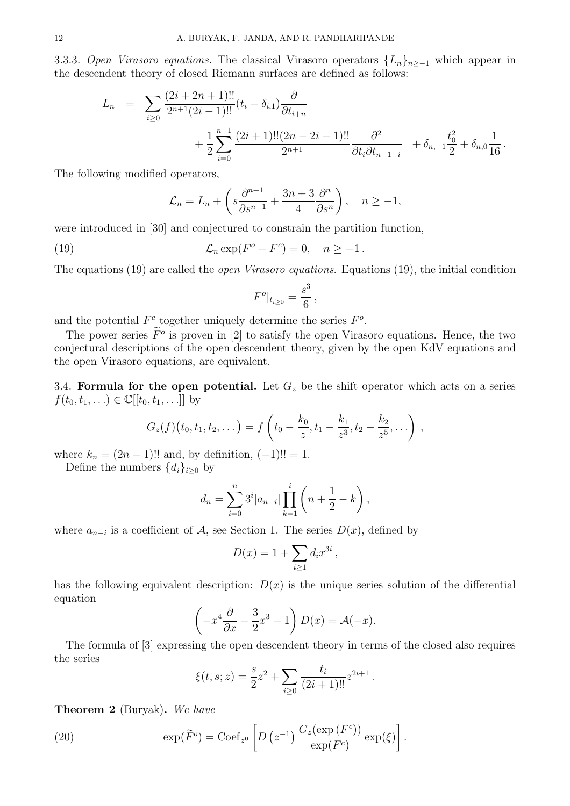3.3.3. Open Virasoro equations. The classical Virasoro operators  ${L_n}_{n>−1}$  which appear in the descendent theory of closed Riemann surfaces are defined as follows:

$$
L_n = \sum_{i \geq 0} \frac{(2i + 2n + 1)!!}{2^{n+1}(2i - 1)!!} (t_i - \delta_{i,1}) \frac{\partial}{\partial t_{i+n}} + \frac{1}{2} \sum_{i=0}^{n-1} \frac{(2i + 1)!!(2n - 2i - 1)!!}{2^{n+1}} \frac{\partial^2}{\partial t_i \partial t_{n-1-i}} + \delta_{n,-1} \frac{t_0^2}{2} + \delta_{n,0} \frac{1}{16}
$$

.

The following modified operators,

$$
\mathcal{L}_n = L_n + \left(s \frac{\partial^{n+1}}{\partial s^{n+1}} + \frac{3n+3}{4} \frac{\partial^n}{\partial s^n}\right), \quad n \ge -1,
$$

were introduced in [30] and conjectured to constrain the partition function,

(19) 
$$
\mathcal{L}_n \exp(F^o + F^c) = 0, \quad n \ge -1.
$$

The equations (19) are called the *open Virasoro equations*. Equations (19), the initial condition

$$
F^o|_{t_{i\geq 0}} = \frac{s^3}{6},
$$

and the potential  $F^c$  together uniquely determine the series  $F^o$ .

The power series  $\tilde{F}^o$  is proven in [2] to satisfy the open Virasoro equations. Hence, the two conjectural descriptions of the open descendent theory, given by the open KdV equations and the open Virasoro equations, are equivalent.

3.4. Formula for the open potential. Let  $G_z$  be the shift operator which acts on a series  $f(t_0, t_1, \ldots) \in \mathbb{C}[[t_0, t_1, \ldots]]$  by

$$
G_z(f)(t_0,t_1,t_2,\dots)=f\left(t_0-\frac{k_0}{z},t_1-\frac{k_1}{z^3},t_2-\frac{k_2}{z^5},\dots\right),
$$

where  $k_n = (2n - 1)!!$  and, by definition,  $(-1)!! = 1$ .

Define the numbers  $\{d_i\}_{i\geq 0}$  by

$$
d_n = \sum_{i=0}^n 3^i |a_{n-i}| \prod_{k=1}^i \left( n + \frac{1}{2} - k \right),
$$

where  $a_{n-i}$  is a coefficient of  $A$ , see Section 1. The series  $D(x)$ , defined by

$$
D(x) = 1 + \sum_{i \ge 1} d_i x^{3i} ,
$$

has the following equivalent description:  $D(x)$  is the unique series solution of the differential equation

$$
\left(-x^4\frac{\partial}{\partial x} - \frac{3}{2}x^3 + 1\right)D(x) = \mathcal{A}(-x).
$$

The formula of [3] expressing the open descendent theory in terms of the closed also requires the series

$$
\xi(t,s;z) = \frac{s}{2}z^2 + \sum_{i\geq 0} \frac{t_i}{(2i+1)!!} z^{2i+1}.
$$

Theorem 2 (Buryak). We have

(20) 
$$
\exp(\widetilde{F}^o) = \operatorname{Coef}_{z^0} \left[ D\left(z^{-1}\right) \frac{G_z(\exp\left(F^c\right))}{\exp\left(F^c\right)} \exp\left(\xi\right) \right].
$$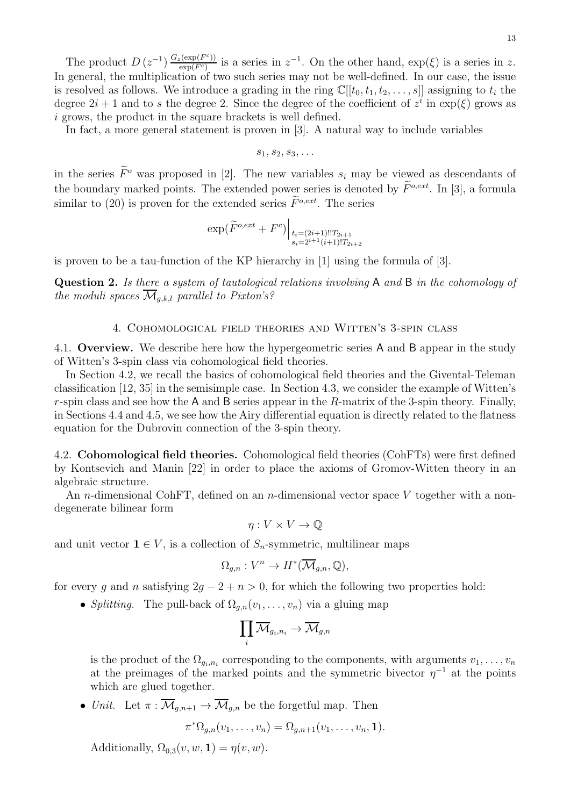The product  $D(z^{-1}) \frac{G_z(\exp(F^c))}{\exp(F^c)}$  $\frac{\exp(F^c)}{\exp(F^c)}$  is a series in  $z^{-1}$ . On the other hand,  $\exp(\xi)$  is a series in z. In general, the multiplication of two such series may not be well-defined. In our case, the issue is resolved as follows. We introduce a grading in the ring  $\mathbb{C}[[t_0, t_1, t_2, \ldots, s]]$  assigning to  $t_i$  the degree  $2i + 1$  and to s the degree 2. Since the degree of the coefficient of  $z^i$  in  $\exp(\xi)$  grows as i grows, the product in the square brackets is well defined.

In fact, a more general statement is proven in [3]. A natural way to include variables

$$
s_1, s_2, s_3, \ldots
$$

in the series  $\tilde{F}^{\circ}$  was proposed in [2]. The new variables  $s_i$  may be viewed as descendants of the boundary marked points. The extended power series is denoted by  $\widetilde{F}^{o,ext}$ . In [3], a formula similar to (20) is proven for the extended series  $\widetilde{F}^{o,ext}$ . The series

$$
\exp(\widetilde{F}^{o,ext} + F^c) \Big|_{\substack{t_i = (2i+1)!! T_{2i+1} \\ s_i = 2^{i+1} (i+1)!! T_{2i+2}}}
$$

is proven to be a tau-function of the KP hierarchy in [1] using the formula of [3].

Question 2. Is there a system of tautological relations involving A and B in the cohomology of the moduli spaces  $\mathcal{M}_{g,k,l}$  parallel to Pixton's?

### 4. Cohomological field theories and Witten's 3-spin class

4.1. Overview. We describe here how the hypergeometric series A and B appear in the study of Witten's 3-spin class via cohomological field theories.

In Section 4.2, we recall the basics of cohomological field theories and the Givental-Teleman classification [12, 35] in the semisimple case. In Section 4.3, we consider the example of Witten's r-spin class and see how the A and B series appear in the R-matrix of the 3-spin theory. Finally, in Sections 4.4 and 4.5, we see how the Airy differential equation is directly related to the flatness equation for the Dubrovin connection of the 3-spin theory.

4.2. Cohomological field theories. Cohomological field theories (CohFTs) were first defined by Kontsevich and Manin [22] in order to place the axioms of Gromov-Witten theory in an algebraic structure.

An *n*-dimensional CohFT, defined on an *n*-dimensional vector space V together with a nondegenerate bilinear form

$$
\eta: V \times V \to \mathbb{Q}
$$

and unit vector  $\mathbf{1} \in V$ , is a collection of  $S_n$ -symmetric, multilinear maps

$$
\Omega_{g,n}: V^n \to H^*(\overline{\mathcal{M}}_{g,n}, \mathbb{Q}),
$$

for every g and n satisfying  $2g - 2 + n > 0$ , for which the following two properties hold:

• Splitting. The pull-back of  $\Omega_{q,n}(v_1,\ldots,v_n)$  via a gluing map

$$
\prod_i \overline{\mathcal{M}}_{g_i,n_i} \to \overline{\mathcal{M}}_{g,n}
$$

is the product of the  $\Omega_{g_i, n_i}$  corresponding to the components, with arguments  $v_1, \ldots, v_n$ at the preimages of the marked points and the symmetric bivector  $\eta^{-1}$  at the points which are glued together.

• Unit. Let  $\pi : \overline{\mathcal{M}}_{q,n+1} \to \overline{\mathcal{M}}_{q,n}$  be the forgetful map. Then

$$
\pi^*\Omega_{g,n}(v_1,\ldots,v_n)=\Omega_{g,n+1}(v_1,\ldots,v_n,\mathbf{1}).
$$

Additionally,  $\Omega_{0,3}(v, w, 1) = \eta(v, w)$ .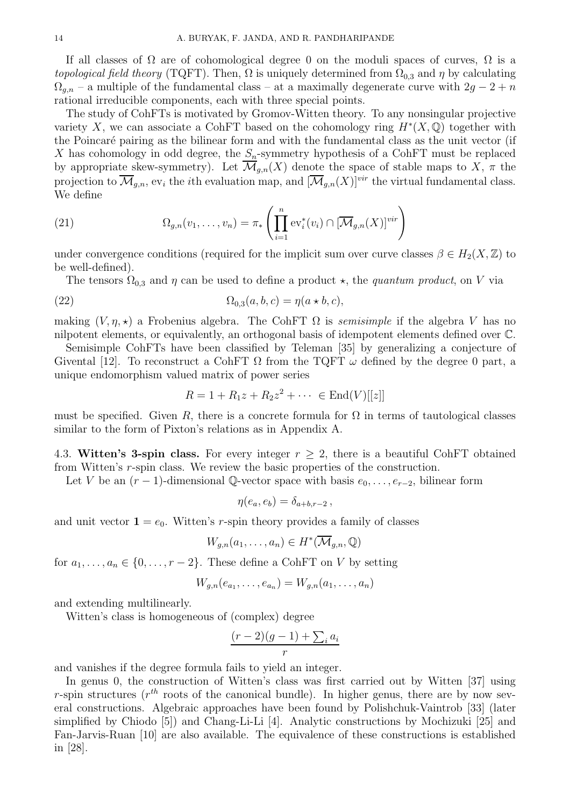If all classes of  $\Omega$  are of cohomological degree 0 on the moduli spaces of curves,  $\Omega$  is a topological field theory (TQFT). Then,  $\Omega$  is uniquely determined from  $\Omega_{0,3}$  and  $\eta$  by calculating  $\Omega_{g,n}$  – a multiple of the fundamental class – at a maximally degenerate curve with  $2g - 2 + n$ rational irreducible components, each with three special points.

The study of CohFTs is motivated by Gromov-Witten theory. To any nonsingular projective variety X, we can associate a CohFT based on the cohomology ring  $H^*(X, \mathbb{Q})$  together with the Poincaré pairing as the bilinear form and with the fundamental class as the unit vector (if X has cohomology in odd degree, the  $S_n$ -symmetry hypothesis of a CohFT must be replaced by appropriate skew-symmetry). Let  $\overline{\mathcal{M}}_{g,n}(X)$  denote the space of stable maps to X,  $\pi$  the projection to  $\overline{\mathcal{M}}_{g,n}$ , ev<sub>i</sub> the *i*th evaluation map, and  $[\overline{\mathcal{M}}_{g,n}(X)]^{vir}$  the virtual fundamental class. We define

(21) 
$$
\Omega_{g,n}(v_1,\ldots,v_n)=\pi_*\left(\prod_{i=1}^n \mathrm{ev}_i^*(v_i)\cap [\overline{\mathcal{M}}_{g,n}(X)]^{vir}\right)
$$

under convergence conditions (required for the implicit sum over curve classes  $\beta \in H_2(X, \mathbb{Z})$  to be well-defined).

The tensors  $\Omega_{0,3}$  and  $\eta$  can be used to define a product  $\star$ , the *quantum product*, on V via

(22) 
$$
\Omega_{0,3}(a,b,c) = \eta(a \star b,c),
$$

making  $(V, \eta, \star)$  a Frobenius algebra. The CohFT  $\Omega$  is *semisimple* if the algebra V has no nilpotent elements, or equivalently, an orthogonal basis of idempotent elements defined over C.

Semisimple CohFTs have been classified by Teleman [35] by generalizing a conjecture of Givental [12]. To reconstruct a CohFT  $\Omega$  from the TQFT  $\omega$  defined by the degree 0 part, a unique endomorphism valued matrix of power series

$$
R = 1 + R_1 z + R_2 z^2 + \dots \in \text{End}(V)[[z]]
$$

must be specified. Given R, there is a concrete formula for  $\Omega$  in terms of tautological classes similar to the form of Pixton's relations as in Appendix A.

4.3. Witten's 3-spin class. For every integer  $r \geq 2$ , there is a beautiful CohFT obtained from Witten's r-spin class. We review the basic properties of the construction.

Let V be an  $(r-1)$ -dimensional Q-vector space with basis  $e_0, \ldots, e_{r-2}$ , bilinear form

$$
\eta(e_a,e_b)=\delta_{a+b,r-2}\,,
$$

and unit vector  $1 = e_0$ . Witten's r-spin theory provides a family of classes

$$
W_{g,n}(a_1,\ldots,a_n)\in H^*(\overline{\mathcal{M}}_{g,n},\mathbb{Q})
$$

for  $a_1, \ldots, a_n \in \{0, \ldots, r-2\}$ . These define a CohFT on V by setting

$$
W_{g,n}(e_{a_1},...,e_{a_n})=W_{g,n}(a_1,...,a_n)
$$

and extending multilinearly.

Witten's class is homogeneous of (complex) degree

$$
\frac{(r-2)(g-1) + \sum_i a_i}{r}
$$

and vanishes if the degree formula fails to yield an integer.

In genus 0, the construction of Witten's class was first carried out by Witten [37] using r-spin structures ( $r^{th}$  roots of the canonical bundle). In higher genus, there are by now several constructions. Algebraic approaches have been found by Polishchuk-Vaintrob [33] (later simplified by Chiodo [5]) and Chang-Li-Li [4]. Analytic constructions by Mochizuki [25] and Fan-Jarvis-Ruan [10] are also available. The equivalence of these constructions is established in [28].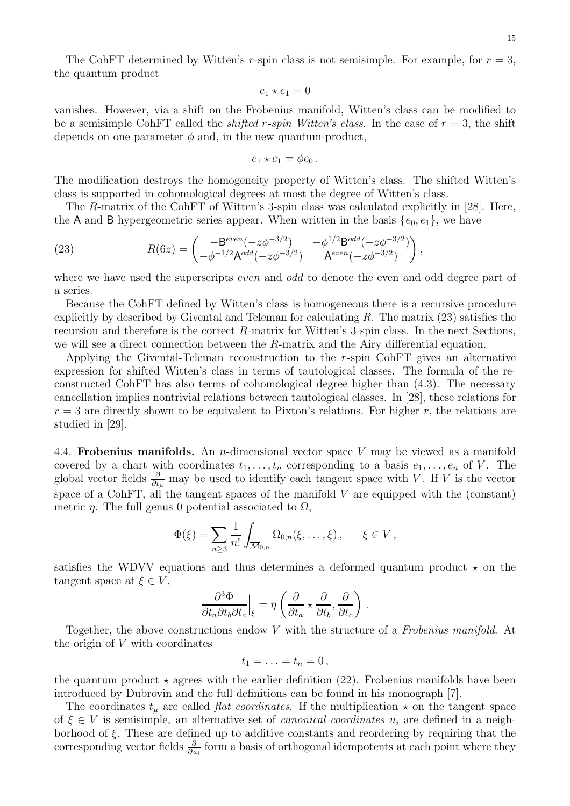The CohFT determined by Witten's r-spin class is not semisimple. For example, for  $r = 3$ , the quantum product

$$
e_1 \star e_1 = 0
$$

vanishes. However, via a shift on the Frobenius manifold, Witten's class can be modified to be a semisimple CohFT called the *shifted r-spin Witten's class*. In the case of  $r = 3$ , the shift depends on one parameter  $\phi$  and, in the new quantum-product,

$$
e_1\star e_1=\phi e_0.
$$

The modification destroys the homogeneity property of Witten's class. The shifted Witten's class is supported in cohomological degrees at most the degree of Witten's class.

The R-matrix of the CohFT of Witten's 3-spin class was calculated explicitly in [28]. Here, the A and B hypergeometric series appear. When written in the basis  $\{e_0, e_1\}$ , we have

(23) 
$$
R(6z) = \begin{pmatrix} -B^{even}(-z\phi^{-3/2}) & -\phi^{1/2}B^{odd}(-z\phi^{-3/2})\\ -\phi^{-1/2}A^{odd}(-z\phi^{-3/2}) & A^{even}(-z\phi^{-3/2}) \end{pmatrix},
$$

where we have used the superscripts *even* and *odd* to denote the even and odd degree part of a series.

Because the CohFT defined by Witten's class is homogeneous there is a recursive procedure explicitly by described by Givental and Teleman for calculating  $R$ . The matrix  $(23)$  satisfies the recursion and therefore is the correct R-matrix for Witten's 3-spin class. In the next Sections, we will see a direct connection between the  $R$ -matrix and the Airy differential equation.

Applying the Givental-Teleman reconstruction to the r-spin CohFT gives an alternative expression for shifted Witten's class in terms of tautological classes. The formula of the reconstructed CohFT has also terms of cohomological degree higher than (4.3). The necessary cancellation implies nontrivial relations between tautological classes. In [28], these relations for  $r = 3$  are directly shown to be equivalent to Pixton's relations. For higher r, the relations are studied in [29].

4.4. **Frobenius manifolds.** An *n*-dimensional vector space  $V$  may be viewed as a manifold covered by a chart with coordinates  $t_1, \ldots, t_n$  corresponding to a basis  $e_1, \ldots, e_n$  of V. The global vector fields  $\frac{\partial}{\partial t_\mu}$  may be used to identify each tangent space with V. If V is the vector space of a CohFT, all the tangent spaces of the manifold  $V$  are equipped with the (constant) metric  $\eta$ . The full genus 0 potential associated to  $\Omega$ ,

$$
\Phi(\xi) = \sum_{n\geq 3} \frac{1}{n!} \int_{\overline{\mathcal{M}}_{0,n}} \Omega_{0,n}(\xi,\ldots,\xi) , \qquad \xi \in V ,
$$

satisfies the WDVV equations and thus determines a deformed quantum product  $\star$  on the tangent space at  $\xi \in V$ ,

$$
\frac{\partial^3 \Phi}{\partial t_a \partial t_b \partial t_c}\Big|_{\xi} = \eta \left( \frac{\partial}{\partial t_a} \star \frac{\partial}{\partial t_b}, \frac{\partial}{\partial t_c} \right) \, .
$$

Together, the above constructions endow V with the structure of a Frobenius manifold. At the origin of  $V$  with coordinates

$$
t_1=\ldots=t_n=0\,,
$$

the quantum product  $\star$  agrees with the earlier definition (22). Frobenius manifolds have been introduced by Dubrovin and the full definitions can be found in his monograph [7].

The coordinates  $t_{\mu}$  are called *flat coordinates*. If the multiplication  $\star$  on the tangent space of  $\xi \in V$  is semisimple, an alternative set of *canonical coordinates*  $u_i$  are defined in a neighborhood of  $\xi$ . These are defined up to additive constants and reordering by requiring that the corresponding vector fields  $\frac{\partial}{\partial u_i}$  form a basis of orthogonal idempotents at each point where they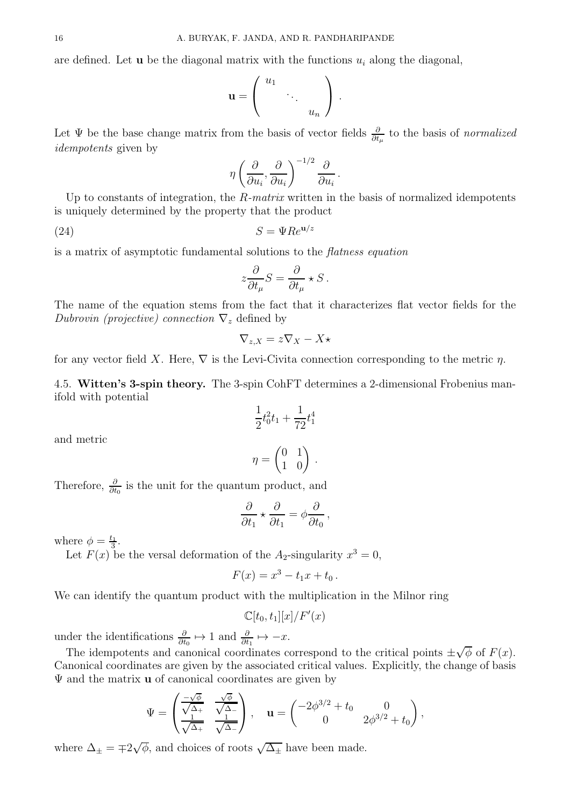$$
\mathbf{u} = \left( \begin{array}{ccc} u_1 & & \\ & \ddots & \\ & & u_n \end{array} \right) .
$$

Let  $\Psi$  be the base change matrix from the basis of vector fields  $\frac{\partial}{\partial t_\mu}$  to the basis of normalized idempotents given by

$$
\eta \left(\frac{\partial}{\partial u_i}, \frac{\partial}{\partial u_i}\right)^{-1/2} \frac{\partial}{\partial u_i}.
$$

Up to constants of integration, the  $R$ -matrix written in the basis of normalized idempotents is uniquely determined by the property that the product

(24)  $S = \Psi Re^{\mathbf{u}/z}$ 

is a matrix of asymptotic fundamental solutions to the flatness equation

$$
z\frac{\partial}{\partial t_{\mu}}S = \frac{\partial}{\partial t_{\mu}} \star S.
$$

The name of the equation stems from the fact that it characterizes flat vector fields for the Dubrovin (projective) connection  $\nabla_z$  defined by

$$
\nabla_{z,X} = z \nabla_X - X \star
$$

for any vector field X. Here,  $\nabla$  is the Levi-Civita connection corresponding to the metric  $\eta$ .

4.5. Witten's 3-spin theory. The 3-spin CohFT determines a 2-dimensional Frobenius manifold with potential

$$
\frac{1}{2}t_0^2t_1 + \frac{1}{72}t_1^4
$$

and metric

$$
\eta = \begin{pmatrix} 0 & 1 \\ 1 & 0 \end{pmatrix} \, .
$$

Therefore,  $\frac{\partial}{\partial t_0}$  is the unit for the quantum product, and

$$
\frac{\partial}{\partial t_1} \star \frac{\partial}{\partial t_1} = \phi \frac{\partial}{\partial t_0},
$$

where  $\phi = \frac{t_1}{3}$  $\frac{1}{3}$ .

Let  $F(x)$  be the versal deformation of the  $A_2$ -singularity  $x^3 = 0$ ,

$$
F(x) = x^3 - t_1 x + t_0.
$$

We can identify the quantum product with the multiplication in the Milnor ring

$$
\mathbb{C}[t_0,t_1][x]/F'(x)
$$

under the identifications  $\frac{\partial}{\partial t_0} \mapsto 1$  and  $\frac{\partial}{\partial t_1} \mapsto -x$ .

The idempotents and canonical coordinates correspond to the critical points  $\pm \sqrt{\phi}$  of  $F(x)$ . Canonical coordinates are given by the associated critical values. Explicitly, the change of basis  $\Psi$  and the matrix **u** of canonical coordinates are given by

$$
\Psi = \begin{pmatrix} \frac{-\sqrt{\phi}}{\sqrt{\Delta_+}} & \frac{\sqrt{\phi}}{\sqrt{\Delta_-}} \\ \frac{1}{\sqrt{\Delta_+}} & \frac{1}{\sqrt{\Delta_-}} \end{pmatrix}, \quad \mathbf{u} = \begin{pmatrix} -2\phi^{3/2} + t_0 & 0 \\ 0 & 2\phi^{3/2} + t_0 \end{pmatrix},
$$

where  $\Delta_{\pm} = \pm 2\sqrt{\phi}$ , and choices of roots  $\sqrt{\Delta_{\pm}}$  have been made.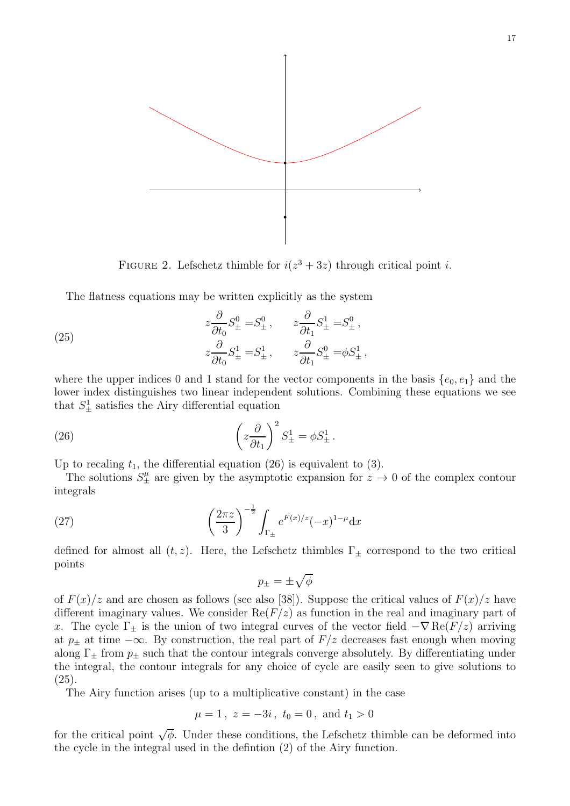

FIGURE 2. Lefschetz thimble for  $i(z^3 + 3z)$  through critical point *i*.

The flatness equations may be written explicitly as the system

(25) 
$$
z\frac{\partial}{\partial t_0}S_{\pm}^0 = S_{\pm}^0, \qquad z\frac{\partial}{\partial t_1}S_{\pm}^1 = S_{\pm}^0,
$$

$$
z\frac{\partial}{\partial t_0}S_{\pm}^1 = S_{\pm}^1, \qquad z\frac{\partial}{\partial t_1}S_{\pm}^0 = \phi S_{\pm}^1,
$$

where the upper indices 0 and 1 stand for the vector components in the basis  $\{e_0, e_1\}$  and the lower index distinguishes two linear independent solutions. Combining these equations we see that  $S^1_{\pm}$  satisfies the Airy differential equation

(26) 
$$
\left(z\frac{\partial}{\partial t_1}\right)^2 S^1_{\pm} = \phi S^1_{\pm}.
$$

Up to recaling  $t_1$ , the differential equation (26) is equivalent to (3).

The solutions  $S^{\mu}_{\pm}$  are given by the asymptotic expansion for  $z \to 0$  of the complex contour integrals

(27) 
$$
\left(\frac{2\pi z}{3}\right)^{-\frac{1}{2}} \int_{\Gamma_{\pm}} e^{F(x)/z}(-x)^{1-\mu} dx
$$

defined for almost all  $(t, z)$ . Here, the Lefschetz thimbles  $\Gamma_{\pm}$  correspond to the two critical points

$$
p_\pm = \pm \sqrt{\phi}
$$

of  $F(x)/z$  and are chosen as follows (see also [38]). Suppose the critical values of  $F(x)/z$  have different imaginary values. We consider  $\text{Re}(F/z)$  as function in the real and imaginary part of x. The cycle  $\Gamma_{\pm}$  is the union of two integral curves of the vector field  $-\nabla \text{Re}(F/z)$  arriving at  $p_{\pm}$  at time  $-\infty$ . By construction, the real part of  $F/z$  decreases fast enough when moving along  $\Gamma_{\pm}$  from  $p_{\pm}$  such that the contour integrals converge absolutely. By differentiating under the integral, the contour integrals for any choice of cycle are easily seen to give solutions to (25).

The Airy function arises (up to a multiplicative constant) in the case

$$
\mu = 1
$$
,  $z = -3i$ ,  $t_0 = 0$ , and  $t_1 > 0$ 

for the critical point  $\sqrt{\phi}$ . Under these conditions, the Lefschetz thimble can be deformed into the cycle in the integral used in the defintion (2) of the Airy function.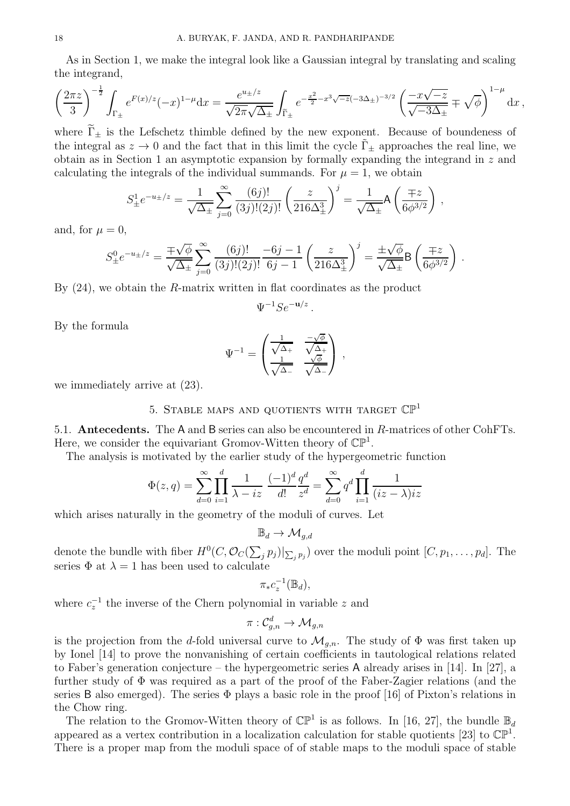As in Section 1, we make the integral look like a Gaussian integral by translating and scaling the integrand,

$$
\left(\frac{2\pi z}{3}\right)^{-\frac{1}{2}} \int_{\Gamma_{\pm}} e^{F(x)/z}(-x)^{1-\mu} dx = \frac{e^{u_{\pm}/z}}{\sqrt{2\pi}\sqrt{\Delta_{\pm}}} \int_{\widetilde{\Gamma}_{\pm}} e^{-\frac{x^2}{2} - x^3\sqrt{-z}(-3\Delta_{\pm})^{-3/2}} \left(\frac{-x\sqrt{-z}}{\sqrt{-3\Delta_{\pm}}} \mp \sqrt{\phi}\right)^{1-\mu} dx,
$$

where  $\Gamma_{\pm}$  is the Lefschetz thimble defined by the new exponent. Because of boundeness of the integral as  $z \to 0$  and the fact that in this limit the cycle  $\Gamma_+$  approaches the real line, we obtain as in Section 1 an asymptotic expansion by formally expanding the integrand in z and calculating the integrals of the individual summands. For  $\mu = 1$ , we obtain

$$
S_{\pm}^{1}e^{-u_{\pm}/z} = \frac{1}{\sqrt{\Delta_{\pm}}} \sum_{j=0}^{\infty} \frac{(6j)!}{(3j)!(2j)!} \left(\frac{z}{216\Delta_{\pm}^{3}}\right)^{j} = \frac{1}{\sqrt{\Delta_{\pm}}} A\left(\frac{\mp z}{6\phi^{3/2}}\right),
$$

and, for  $\mu = 0$ ,

$$
S_{\pm}^{0}e^{-u_{\pm}/z} = \frac{\mp\sqrt{\phi}}{\sqrt{\Delta_{\pm}}} \sum_{j=0}^{\infty} \frac{(6j)!}{(3j)!(2j)!} \frac{-6j-1}{6j-1} \left(\frac{z}{216\Delta_{\pm}^3}\right)^j = \frac{\pm\sqrt{\phi}}{\sqrt{\Delta_{\pm}}} \mathsf{B}\left(\frac{\mp z}{6\phi^{3/2}}\right).
$$

By  $(24)$ , we obtain the R-matrix written in flat coordinates as the product

$$
\Psi^{-1} S e^{-\mathbf{u}/z}.
$$

By the formula

$$
\Psi^{-1} = \begin{pmatrix} \frac{1}{\sqrt{\Delta_+}} & \frac{-\sqrt{\phi}}{\sqrt{\Delta_+}} \\ \frac{1}{\sqrt{\Delta_-}} & \frac{\sqrt{\phi}}{\sqrt{\Delta_-}} \end{pmatrix} ,
$$

we immediately arrive at (23).

# 5. STABLE MAPS AND QUOTIENTS WITH TARGET  $\mathbb{CP}^1$

5.1. Antecedents. The A and B series can also be encountered in R-matrices of other CohFTs. Here, we consider the equivariant Gromov-Witten theory of  $\mathbb{CP}^1$ .

The analysis is motivated by the earlier study of the hypergeometric function

$$
\Phi(z,q) = \sum_{d=0}^{\infty} \prod_{i=1}^{d} \frac{1}{\lambda - iz} \frac{(-1)^d}{d!} \frac{q^d}{z^d} = \sum_{d=0}^{\infty} q^d \prod_{i=1}^{d} \frac{1}{(iz - \lambda)iz}
$$

which arises naturally in the geometry of the moduli of curves. Let

$$
\mathbb{B}_d \to \mathcal{M}_{g,d}
$$

denote the bundle with fiber  $H^0(C, \mathcal{O}_C(\sum_j p_j)|_{\sum_j p_j})$  over the moduli point  $[C, p_1, \ldots, p_d]$ . The series  $\Phi$  at  $\lambda = 1$  has been used to calculate

$$
\pi_* c_z^{-1}(\mathbb{B}_d),
$$

where  $c_z^{-1}$  the inverse of the Chern polynomial in variable z and

$$
\pi:\mathcal{C}_{g,n}^d\rightarrow \mathcal{M}_{g,n}
$$

is the projection from the d-fold universal curve to  $\mathcal{M}_{g,n}$ . The study of  $\Phi$  was first taken up by Ionel [14] to prove the nonvanishing of certain coefficients in tautological relations related to Faber's generation conjecture – the hypergeometric series A already arises in [14]. In [27], a further study of  $\Phi$  was required as a part of the proof of the Faber-Zagier relations (and the series B also emerged). The series  $\Phi$  plays a basic role in the proof [16] of Pixton's relations in the Chow ring.

The relation to the Gromov-Witten theory of  $\mathbb{CP}^1$  is as follows. In [16, 27], the bundle  $\mathbb{B}_d$ appeared as a vertex contribution in a localization calculation for stable quotients [23] to  $\mathbb{CP}^1$ . There is a proper map from the moduli space of of stable maps to the moduli space of stable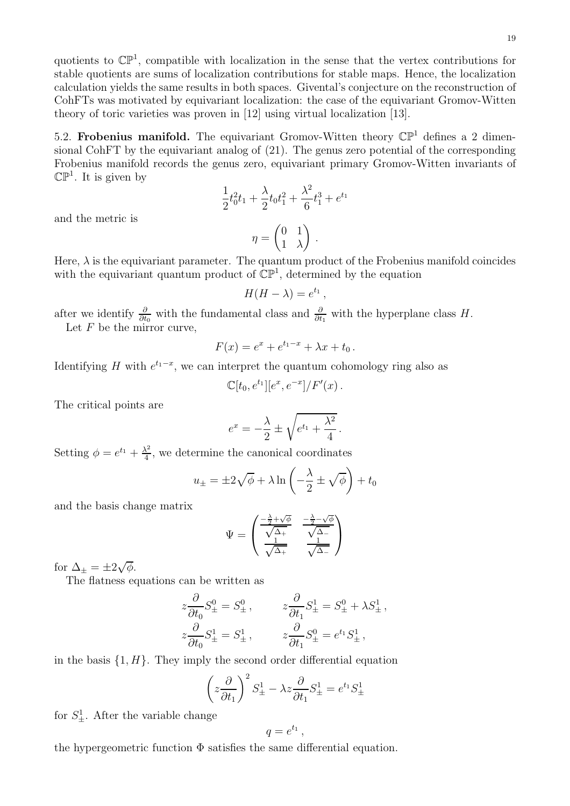quotients to  $\mathbb{CP}^1$ , compatible with localization in the sense that the vertex contributions for stable quotients are sums of localization contributions for stable maps. Hence, the localization calculation yields the same results in both spaces. Givental's conjecture on the reconstruction of CohFTs was motivated by equivariant localization: the case of the equivariant Gromov-Witten theory of toric varieties was proven in [12] using virtual localization [13].

5.2. Frobenius manifold. The equivariant Gromov-Witten theory  $\mathbb{CP}^1$  defines a 2 dimensional CohFT by the equivariant analog of (21). The genus zero potential of the corresponding Frobenius manifold records the genus zero, equivariant primary Gromov-Witten invariants of  $\mathbb{CP}^1$ . It is given by

$$
\frac{1}{2}t_0^2t_1 + \frac{\lambda}{2}t_0t_1^2 + \frac{\lambda^2}{6}t_1^3 + e^{t_1}
$$

and the metric is

Here, 
$$
\lambda
$$
 is the equivariant parameter. The quantum product of the Frobenius manifold coincides with the equivariant quantum product of  $\mathbb{CP}^1$ , determined by the equation

 $(0 1)$ 1 λ

 $\setminus$ .

$$
H(H - \lambda) = e^{t_1},
$$

after we identify  $\frac{\partial}{\partial t_0}$  with the fundamental class and  $\frac{\partial}{\partial t_1}$  with the hyperplane class H.

 $\eta =$ 

Let  $F$  be the mirror curve,

$$
F(x) = e^x + e^{t_1 - x} + \lambda x + t_0.
$$

Identifying H with  $e^{t_1-x}$ , we can interpret the quantum cohomology ring also as

$$
\mathbb{C}[t_0, e^{t_1}][e^x, e^{-x}]/F'(x).
$$

The critical points are

$$
e^x = -\frac{\lambda}{2} \pm \sqrt{e^{t_1} + \frac{\lambda^2}{4}}.
$$

Setting  $\phi = e^{t_1} + \frac{\lambda^2}{4}$  $\frac{\lambda^2}{4}$ , we determine the canonical coordinates

$$
u_{\pm} = \pm 2\sqrt{\phi} + \lambda \ln\left(-\frac{\lambda}{2} \pm \sqrt{\phi}\right) + t_0
$$

and the basis change matrix

$$
\Psi = \begin{pmatrix} \frac{-\frac{\lambda}{2} + \sqrt{\phi}}{\sqrt{\Delta_{+}}} & \frac{-\frac{\lambda}{2} - \sqrt{\phi}}{\sqrt{\Delta_{-}}} \\ \frac{1}{\sqrt{\Delta_{+}}} & \frac{1}{\sqrt{\Delta_{-}}} \end{pmatrix}
$$

for  $\Delta_{\pm} = \pm 2\sqrt{\phi}$ .

The flatness equations can be written as

$$
z\frac{\partial}{\partial t_0}S_{\pm}^0 = S_{\pm}^0, \t z\frac{\partial}{\partial t_1}S_{\pm}^1 = S_{\pm}^0 + \lambda S_{\pm}^1,
$$
  

$$
z\frac{\partial}{\partial t_0}S_{\pm}^1 = S_{\pm}^1, \t z\frac{\partial}{\partial t_1}S_{\pm}^0 = e^{t_1}S_{\pm}^1,
$$

in the basis  $\{1, H\}$ . They imply the second order differential equation

$$
\left(z\frac{\partial}{\partial t_1}\right)^2 S^1_{\pm} - \lambda z \frac{\partial}{\partial t_1} S^1_{\pm} = e^{t_1} S^1_{\pm}
$$

for  $S^1_{\pm}$ . After the variable change

$$
q=e^{t_1}\,,
$$

the hypergeometric function  $\Phi$  satisfies the same differential equation.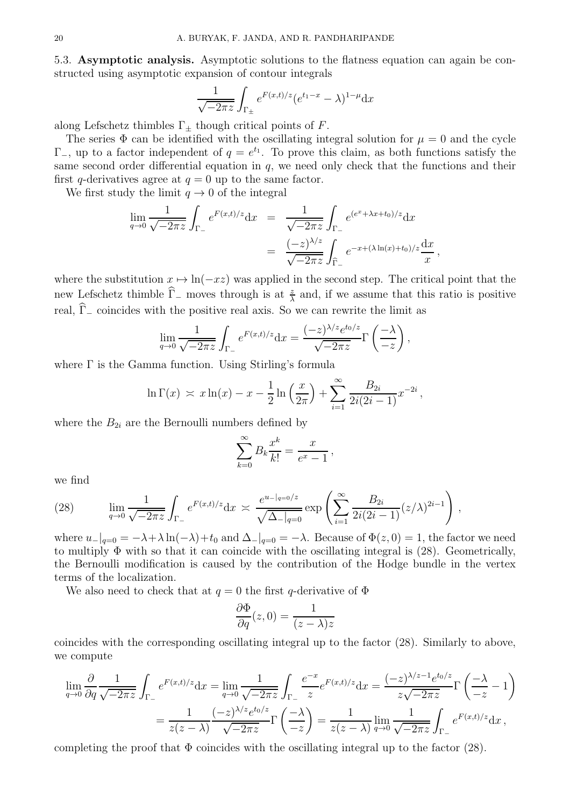5.3. Asymptotic analysis. Asymptotic solutions to the flatness equation can again be constructed using asymptotic expansion of contour integrals

$$
\frac{1}{\sqrt{-2\pi z}} \int_{\Gamma_{\pm}} e^{F(x,t)/z} (e^{t_1-x} - \lambda)^{1-\mu} dx
$$

along Lefschetz thimbles  $\Gamma_{\pm}$  though critical points of F.

The series  $\Phi$  can be identified with the oscillating integral solution for  $\mu = 0$  and the cycle  $\Gamma_{-}$ , up to a factor independent of  $q = e^{t_1}$ . To prove this claim, as both functions satisfy the same second order differential equation in  $q$ , we need only check that the functions and their first q-derivatives agree at  $q = 0$  up to the same factor.

We first study the limit  $q \to 0$  of the integral

$$
\lim_{q \to 0} \frac{1}{\sqrt{-2\pi z}} \int_{\Gamma_{-}} e^{F(x,t)/z} dx = \frac{1}{\sqrt{-2\pi z}} \int_{\Gamma_{-}} e^{(e^x + \lambda x + t_0)/z} dx
$$

$$
= \frac{(-z)^{\lambda/z}}{\sqrt{-2\pi z}} \int_{\widehat{\Gamma}_{-}} e^{-x + (\lambda \ln(x) + t_0)/z} \frac{dx}{x},
$$

where the substitution  $x \mapsto \ln(-xz)$  was applied in the second step. The critical point that the new Lefschetz thimble  $\hat{\Gamma}_-$  moves through is at  $\frac{z}{\lambda}$  and, if we assume that this ratio is positive real,  $\widehat{\Gamma}_-$  coincides with the positive real axis. So we can rewrite the limit as

$$
\lim_{q \to 0} \frac{1}{\sqrt{-2\pi z}} \int_{\Gamma_{-}} e^{F(x,t)/z} dx = \frac{(-z)^{\lambda/z} e^{t_0/z}}{\sqrt{-2\pi z}} \Gamma\left(\frac{-\lambda}{-z}\right),
$$

where  $\Gamma$  is the Gamma function. Using Stirling's formula

$$
\ln \Gamma(x) \asymp x \ln(x) - x - \frac{1}{2} \ln \left( \frac{x}{2\pi} \right) + \sum_{i=1}^{\infty} \frac{B_{2i}}{2i(2i-1)} x^{-2i},
$$

where the  $B_{2i}$  are the Bernoulli numbers defined by

$$
\sum_{k=0}^{\infty} B_k \frac{x^k}{k!} = \frac{x}{e^x - 1},
$$

we find

(28) 
$$
\lim_{q \to 0} \frac{1}{\sqrt{-2\pi z}} \int_{\Gamma_{-}} e^{F(x,t)/z} dx \approx \frac{e^{u-|q=0/z}}{\sqrt{\Delta_{-}|q=0}} \exp\left(\sum_{i=1}^{\infty} \frac{B_{2i}}{2i(2i-1)} (z/\lambda)^{2i-1}\right),
$$

where  $u_{-}|_{q=0} = -\lambda + \lambda \ln(-\lambda) + t_0$  and  $\Delta_{-}|_{q=0} = -\lambda$ . Because of  $\Phi(z, 0) = 1$ , the factor we need to multiply  $\Phi$  with so that it can coincide with the oscillating integral is (28). Geometrically, the Bernoulli modification is caused by the contribution of the Hodge bundle in the vertex terms of the localization.

We also need to check that at  $q = 0$  the first q-derivative of  $\Phi$ 

$$
\frac{\partial \Phi}{\partial q}(z,0) = \frac{1}{(z-\lambda)z}
$$

coincides with the corresponding oscillating integral up to the factor (28). Similarly to above, we compute

$$
\lim_{q \to 0} \frac{\partial}{\partial q} \frac{1}{\sqrt{-2\pi z}} \int_{\Gamma_{-}} e^{F(x,t)/z} dx = \lim_{q \to 0} \frac{1}{\sqrt{-2\pi z}} \int_{\Gamma_{-}} \frac{e^{-x}}{z} e^{F(x,t)/z} dx = \frac{(-z)^{\lambda/z - 1} e^{t_0/z}}{z\sqrt{-2\pi z}} \Gamma\left(\frac{-\lambda}{-z} - 1\right)
$$

$$
= \frac{1}{z(z-\lambda)} \frac{(-z)^{\lambda/z} e^{t_0/z}}{\sqrt{-2\pi z}} \Gamma\left(\frac{-\lambda}{-z}\right) = \frac{1}{z(z-\lambda)} \lim_{q \to 0} \frac{1}{\sqrt{-2\pi z}} \int_{\Gamma_{-}} e^{F(x,t)/z} dx,
$$

completing the proof that  $\Phi$  coincides with the oscillating integral up to the factor (28).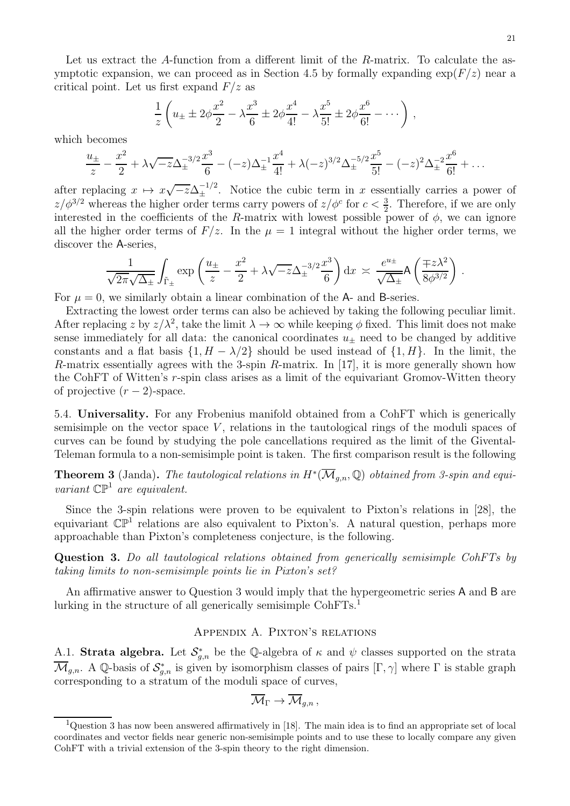Let us extract the A-function from a different limit of the R-matrix. To calculate the asymptotic expansion, we can proceed as in Section 4.5 by formally expanding  $\exp(F/z)$  near a critical point. Let us first expand  $F/z$  as

$$
\frac{1}{z}\left(u_{\pm} \pm 2\phi \frac{x^2}{2} - \lambda \frac{x^3}{6} \pm 2\phi \frac{x^4}{4!} - \lambda \frac{x^5}{5!} \pm 2\phi \frac{x^6}{6!} - \cdots \right),
$$

which becomes

$$
\frac{u_{\pm}}{z} - \frac{x^2}{2} + \lambda \sqrt{-z} \Delta_{\pm}^{-3/2} \frac{x^3}{6} - (-z) \Delta_{\pm}^{-1} \frac{x^4}{4!} + \lambda (-z)^{3/2} \Delta_{\pm}^{-5/2} \frac{x^5}{5!} - (-z)^2 \Delta_{\pm}^{-2} \frac{x^6}{6!} + \dots
$$

after replacing  $x \mapsto x\sqrt{-z}\Delta_{\pm}^{-1/2}$ . Notice the cubic term in x essentially carries a power of  $z/\phi^{3/2}$  whereas the higher order terms carry powers of  $z/\phi^c$  for  $c < \frac{3}{2}$ . Therefore, if we are only interested in the coefficients of the R-matrix with lowest possible power of  $\phi$ , we can ignore all the higher order terms of  $F/z$ . In the  $\mu = 1$  integral without the higher order terms, we discover the A-series,

$$
\frac{1}{\sqrt{2\pi}\sqrt{\Delta_{\pm}}} \int_{\tilde{\Gamma}_{\pm}} \exp\left(\frac{u_{\pm}}{z} - \frac{x^2}{2} + \lambda\sqrt{-z}\Delta_{\pm}^{-3/2}\frac{x^3}{6}\right) dx \approx \frac{e^{u_{\pm}}}{\sqrt{\Delta_{\pm}}} A\left(\frac{\mp z\lambda^2}{8\phi^{3/2}}\right).
$$

For  $\mu = 0$ , we similarly obtain a linear combination of the A- and B-series.

Extracting the lowest order terms can also be achieved by taking the following peculiar limit. After replacing z by  $z/\lambda^2$ , take the limit  $\lambda \to \infty$  while keeping  $\phi$  fixed. This limit does not make sense immediately for all data: the canonical coordinates  $u_+$  need to be changed by additive constants and a flat basis  $\{1, H - \lambda/2\}$  should be used instead of  $\{1, H\}$ . In the limit, the R-matrix essentially agrees with the 3-spin R-matrix. In [17], it is more generally shown how the CohFT of Witten's r-spin class arises as a limit of the equivariant Gromov-Witten theory of projective  $(r-2)$ -space.

5.4. Universality. For any Frobenius manifold obtained from a CohFT which is generically semisimple on the vector space  $V$ , relations in the tautological rings of the moduli spaces of curves can be found by studying the pole cancellations required as the limit of the Givental-Teleman formula to a non-semisimple point is taken. The first comparison result is the following

**Theorem 3** (Janda). The tautological relations in  $H^*(\overline{\mathcal{M}}_{g,n}, \mathbb{Q})$  obtained from 3-spin and equivariant  $\mathbb{CP}^1$  are equivalent.

Since the 3-spin relations were proven to be equivalent to Pixton's relations in [28], the equivariant  $\mathbb{CP}^1$  relations are also equivalent to Pixton's. A natural question, perhaps more approachable than Pixton's completeness conjecture, is the following.

Question 3. Do all tautological relations obtained from generically semisimple CohFTs by taking limits to non-semisimple points lie in Pixton's set?

An affirmative answer to Question 3 would imply that the hypergeometric series A and B are lurking in the structure of all generically semisimple CohFTs.<sup>1</sup>

## Appendix A. Pixton's relations

A.1. Strata algebra. Let  $\mathcal{S}_{g,n}^*$  be the Q-algebra of  $\kappa$  and  $\psi$  classes supported on the strata  $\overline{\mathcal{M}}_{g,n}$ . A Q-basis of  $\mathcal{S}_{g,n}^*$  is given by isomorphism classes of pairs  $[\Gamma, \gamma]$  where  $\Gamma$  is stable graph corresponding to a stratum of the moduli space of curves,

$$
\overline{\mathcal{M}}_\Gamma \to \overline{\mathcal{M}}_{g,n} ,
$$

<sup>&</sup>lt;sup>1</sup>Question 3 has now been answered affirmatively in [18]. The main idea is to find an appropriate set of local coordinates and vector fields near generic non-semisimple points and to use these to locally compare any given CohFT with a trivial extension of the 3-spin theory to the right dimension.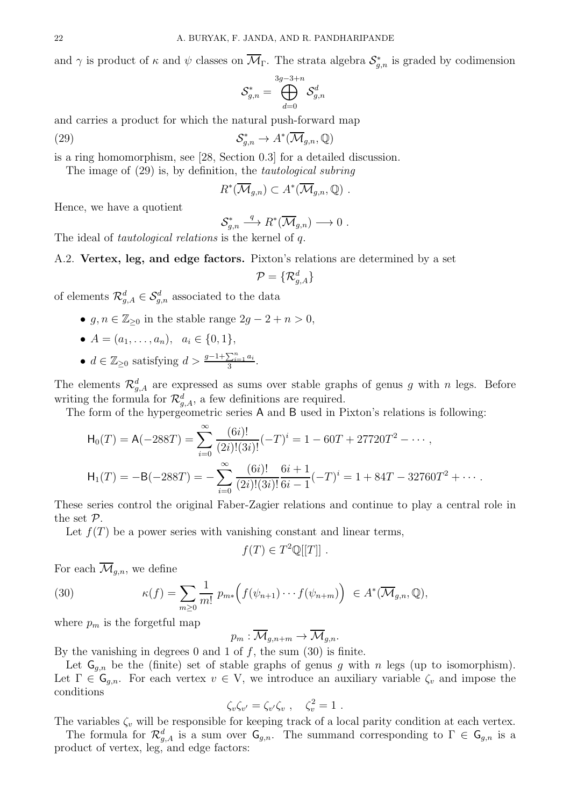and  $\gamma$  is product of  $\kappa$  and  $\psi$  classes on  $\mathcal{M}_{\Gamma}$ . The strata algebra  $\mathcal{S}_{g,n}^*$  is graded by codimension

$$
\mathcal{S}_{g,n}^*=\bigoplus_{d=0}^{3g-3+n}\mathcal{S}_{g,n}^d
$$

and carries a product for which the natural push-forward map

(29) 
$$
\mathcal{S}_{g,n}^* \to A^*(\overline{\mathcal{M}}_{g,n}, \mathbb{Q})
$$

is a ring homomorphism, see [28, Section 0.3] for a detailed discussion.

The image of (29) is, by definition, the tautological subring

$$
R^*(\overline{\mathcal{M}}_{g,n}) \subset A^*(\overline{\mathcal{M}}_{g,n},\mathbb{Q}) \ .
$$

Hence, we have a quotient

$$
\mathcal{S}_{g,n}^* \stackrel{q}{\longrightarrow} R^*(\overline{\mathcal{M}}_{g,n}) \longrightarrow 0 .
$$

The ideal of *tautological relations* is the kernel of q.

A.2. Vertex, leg, and edge factors. Pixton's relations are determined by a set

$$
\mathcal{P} = \{\mathcal{R}^d_{g,A}\}
$$

of elements  $\mathcal{R}_{g,A}^d \in \mathcal{S}_{g,n}^d$  associated to the data

- $g, n \in \mathbb{Z}_{\geq 0}$  in the stable range  $2g 2 + n > 0$ ,
- $A = (a_1, \ldots, a_n), a_i \in \{0, 1\},\$
- $d \in \mathbb{Z}_{\geq 0}$  satisfying  $d > \frac{g-1+\sum_{i=1}^{n} a_i}{3}$  $\frac{\sum_{i=1}a_i}{3}.$

The elements  $\mathcal{R}_{g,A}^d$  are expressed as sums over stable graphs of genus g with n legs. Before writing the formula for  $\mathcal{R}_{g,A}^d$ , a few definitions are required.

The form of the hypergeometric series A and B used in Pixton's relations is following:

$$
\mathsf{H}_{0}(T) = \mathsf{A}(-288T) = \sum_{i=0}^{\infty} \frac{(6i)!}{(2i)!(3i)!} (-T)^{i} = 1 - 60T + 27720T^{2} - \cdots,
$$

$$
\mathsf{H}_{1}(T) = -\mathsf{B}(-288T) = -\sum_{i=0}^{\infty} \frac{(6i)!}{(2i)!(3i)!} \frac{6i+1}{6i-1} (-T)^{i} = 1 + 84T - 32760T^{2} + \cdots.
$$

These series control the original Faber-Zagier relations and continue to play a central role in the set P.

Let  $f(T)$  be a power series with vanishing constant and linear terms,

$$
f(T) \in T^2 \mathbb{Q}[[T]] .
$$

For each  $\overline{\mathcal{M}}_{q,n}$ , we define

(30) 
$$
\kappa(f) = \sum_{m\geq 0} \frac{1}{m!} p_{m*} \Big( f(\psi_{n+1}) \cdots f(\psi_{n+m}) \Big) \in A^*(\overline{\mathcal{M}}_{g,n}, \mathbb{Q}),
$$

where  $p_m$  is the forgetful map

$$
p_m: \overline{\mathcal{M}}_{g,n+m} \to \overline{\mathcal{M}}_{g,n}.
$$

By the vanishing in degrees 0 and 1 of  $f$ , the sum (30) is finite.

Let  $G_{q,n}$  be the (finite) set of stable graphs of genus g with n legs (up to isomorphism). Let  $\Gamma \in \mathsf{G}_{g,n}$ . For each vertex  $v \in \mathsf{V}$ , we introduce an auxiliary variable  $\zeta_v$  and impose the conditions

$$
\zeta_v \zeta_{v'} = \zeta_{v'} \zeta_v , \quad \zeta_v^2 = 1 .
$$

The variables  $\zeta_v$  will be responsible for keeping track of a local parity condition at each vertex.

The formula for  $\mathcal{R}_{g,A}^d$  is a sum over  $\mathsf{G}_{g,n}$ . The summand corresponding to  $\Gamma \in \mathsf{G}_{g,n}$  is a product of vertex, leg, and edge factors: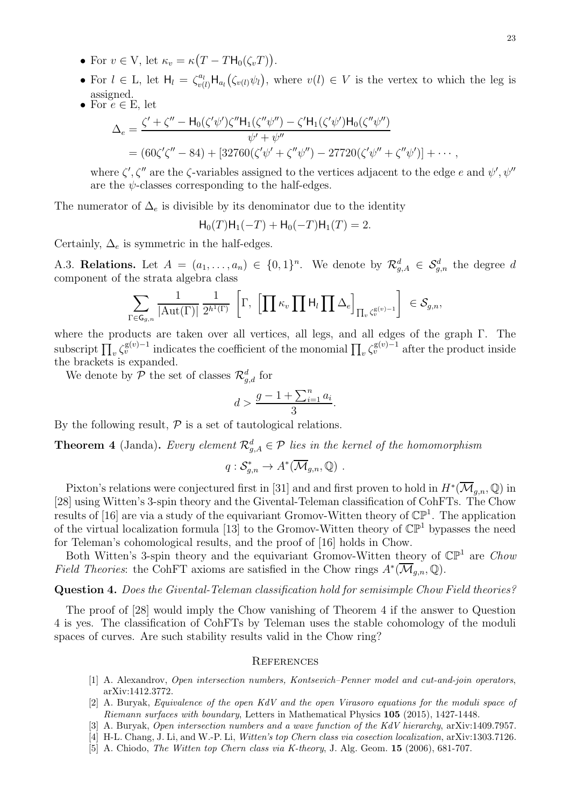- For  $v \in V$ , let  $\kappa_v = \kappa (T TH_0(\zeta_v T))$ .
- For  $l \in L$ , let  $H_l = \zeta_{v(l)}^{a_l} H_{a_l}(\zeta_{v(l)} \psi_l)$ , where  $v(l) \in V$  is the vertex to which the leg is assigned.
- For  $e \in E$ , let

$$
\Delta_e = \frac{\zeta' + \zeta'' - H_0(\zeta'\psi')\zeta''H_1(\zeta''\psi'') - \zeta'H_1(\zeta'\psi')H_0(\zeta''\psi'')}{\psi' + \psi''}
$$
  
= (60\zeta'\zeta'' - 84) + [32760(\zeta'\psi' + \zeta''\psi'') - 27720(\zeta'\psi'' + \zeta''\psi')] + \cdots,

where  $\zeta', \zeta''$  are the  $\zeta$ -variables assigned to the vertices adjacent to the edge e and  $\psi', \psi''$ are the  $\psi$ -classes corresponding to the half-edges.

The numerator of  $\Delta_e$  is divisible by its denominator due to the identity

$$
H_0(T)H_1(-T) + H_0(-T)H_1(T) = 2.
$$

Certainly,  $\Delta_e$  is symmetric in the half-edges.

A.3. Relations. Let  $A = (a_1, \ldots, a_n) \in \{0,1\}^n$ . We denote by  $\mathcal{R}_{g,A}^d \in \mathcal{S}_{g,n}^d$  the degree d component of the strata algebra class

$$
\sum_{\Gamma \in \mathsf{G}_{g,n}} \frac{1}{|\mathrm{Aut}(\Gamma)|} \frac{1}{2^{h^1(\Gamma)}} \,\left[\Gamma, \,\left[\prod \kappa_v \prod \mathsf{H}_l \prod \Delta_e\right]_{\prod_v \zeta_v^{\mathrm{g}(v)-1}}\right] \,\in \mathcal{S}_{g,n},
$$

where the products are taken over all vertices, all legs, and all edges of the graph Γ. The subscript  $\prod_v \zeta_v^{\mathsf{g}(v)-1}$  indicates the coefficient of the monomial  $\prod_v \zeta_v^{\mathsf{g}(v)-1}$  after the product inside the brackets is expanded.

We denote by  $P$  the set of classes  $\mathcal{R}^d_{g,d}$  for

$$
d > \frac{g - 1 + \sum_{i=1}^{n} a_i}{3}.
$$

By the following result,  $P$  is a set of tautological relations.

**Theorem 4** (Janda). Every element  $\mathcal{R}_{g,A}^d \in \mathcal{P}$  lies in the kernel of the homomorphism

$$
q: \mathcal{S}_{g,n}^* \to A^*(\overline{\mathcal{M}}_{g,n}, \mathbb{Q}) \ .
$$

Pixton's relations were conjectured first in [31] and and first proven to hold in  $H^*(\mathcal{M}_{g,n}, \mathbb{Q})$  in [28] using Witten's 3-spin theory and the Givental-Teleman classification of CohFTs. The Chow results of [16] are via a study of the equivariant Gromov-Witten theory of  $\mathbb{CP}^1$ . The application of the virtual localization formula [13] to the Gromov-Witten theory of  $\mathbb{CP}^1$  bypasses the need for Teleman's cohomological results, and the proof of [16] holds in Chow.

Both Witten's 3-spin theory and the equivariant Gromov-Witten theory of  $\mathbb{CP}^1$  are Chow *Field Theories*: the CohFT axioms are satisfied in the Chow rings  $A^*(\overline{\mathcal{M}}_{g,n}, \mathbb{Q})$ .

#### Question 4. Does the Givental-Teleman classification hold for semisimple Chow Field theories?

The proof of [28] would imply the Chow vanishing of Theorem 4 if the answer to Question 4 is yes. The classification of CohFTs by Teleman uses the stable cohomology of the moduli spaces of curves. Are such stability results valid in the Chow ring?

#### **REFERENCES**

- [1] A. Alexandrov, Open intersection numbers, Kontsevich–Penner model and cut-and-join operators, arXiv:1412.3772.
- [2] A. Buryak, Equivalence of the open KdV and the open Virasoro equations for the moduli space of Riemann surfaces with boundary, Letters in Mathematical Physics 105 (2015), 1427-1448.
- [3] A. Buryak, Open intersection numbers and a wave function of the KdV hierarchy, arXiv:1409.7957.
- [4] H-L. Chang, J. Li, and W.-P. Li, Witten's top Chern class via cosection localization, arXiv:1303.7126.
- [5] A. Chiodo, The Witten top Chern class via K-theory, J. Alg. Geom. 15 (2006), 681-707.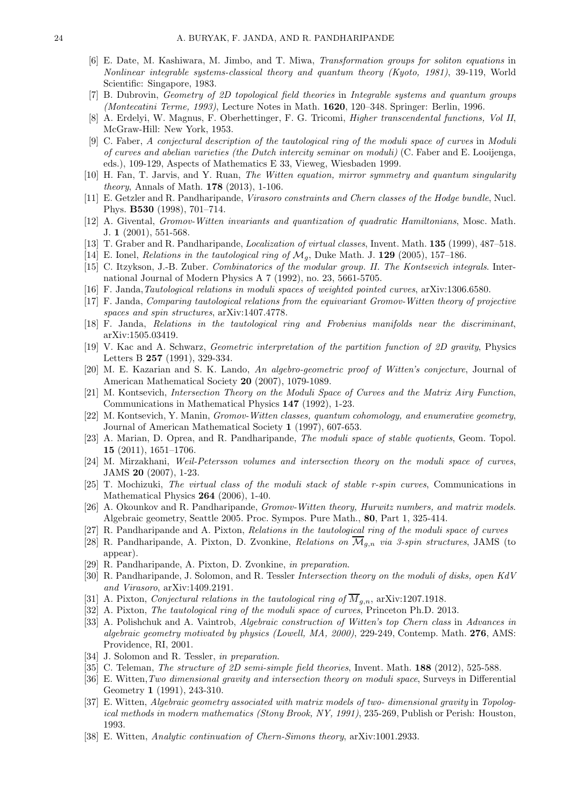- [6] E. Date, M. Kashiwara, M. Jimbo, and T. Miwa, Transformation groups for soliton equations in Nonlinear integrable systems-classical theory and quantum theory (Kyoto, 1981), 39-119, World Scientific: Singapore, 1983.
- [7] B. Dubrovin, Geometry of 2D topological field theories in Integrable systems and quantum groups (Montecatini Terme, 1993), Lecture Notes in Math. 1620, 120–348. Springer: Berlin, 1996.
- [8] A. Erdelyi, W. Magnus, F. Oberhettinger, F. G. Tricomi, Higher transcendental functions, Vol II, McGraw-Hill: New York, 1953.
- [9] C. Faber, A conjectural description of the tautological ring of the moduli space of curves in Moduli of curves and abelian varieties (the Dutch intercity seminar on moduli) (C. Faber and E. Looijenga, eds.), 109-129, Aspects of Mathematics E 33, Vieweg, Wiesbaden 1999.
- [10] H. Fan, T. Jarvis, and Y. Ruan, The Witten equation, mirror symmetry and quantum singularity theory, Annals of Math. 178 (2013), 1-106.
- [11] E. Getzler and R. Pandharipande, Virasoro constraints and Chern classes of the Hodge bundle, Nucl. Phys. B530 (1998), 701–714.
- [12] A. Givental, Gromov-Witten invariants and quantization of quadratic Hamiltonians, Mosc. Math. J. 1 (2001), 551-568.
- [13] T. Graber and R. Pandharipande, Localization of virtual classes, Invent. Math. 135 (1999), 487–518.
- [14] E. Ionel, Relations in the tautological ring of  $\mathcal{M}_g$ , Duke Math. J. 129 (2005), 157-186.
- [15] C. Itzykson, J.-B. Zuber. Combinatorics of the modular group. II. The Kontsevich integrals. International Journal of Modern Physics A 7 (1992), no. 23, 5661-5705.
- [16] F. Janda,Tautological relations in moduli spaces of weighted pointed curves, arXiv:1306.6580.
- [17] F. Janda, Comparing tautological relations from the equivariant Gromov-Witten theory of projective spaces and spin structures, arXiv:1407.4778.
- [18] F. Janda, Relations in the tautological ring and Frobenius manifolds near the discriminant, arXiv:1505.03419.
- [19] V. Kac and A. Schwarz, Geometric interpretation of the partition function of 2D gravity, Physics Letters B 257 (1991), 329-334.
- [20] M. E. Kazarian and S. K. Lando, An algebro-geometric proof of Witten's conjecture, Journal of American Mathematical Society 20 (2007), 1079-1089.
- [21] M. Kontsevich, Intersection Theory on the Moduli Space of Curves and the Matrix Airy Function, Communications in Mathematical Physics 147 (1992), 1-23.
- [22] M. Kontsevich, Y. Manin, Gromov-Witten classes, quantum cohomology, and enumerative geometry, Journal of American Mathematical Society 1 (1997), 607-653.
- [23] A. Marian, D. Oprea, and R. Pandharipande, The moduli space of stable quotients, Geom. Topol. 15 (2011), 1651–1706.
- [24] M. Mirzakhani, Weil-Petersson volumes and intersection theory on the moduli space of curves, JAMS 20 (2007), 1-23.
- [25] T. Mochizuki, The virtual class of the moduli stack of stable r-spin curves, Communications in Mathematical Physics 264 (2006), 1-40.
- [26] A. Okounkov and R. Pandharipande, Gromov-Witten theory, Hurwitz numbers, and matrix models. Algebraic geometry, Seattle 2005. Proc. Sympos. Pure Math., 80, Part 1, 325-414.
- [27] R. Pandharipande and A. Pixton, Relations in the tautological ring of the moduli space of curves
- [28] R. Pandharipande, A. Pixton, D. Zvonkine, Relations on  $\overline{\mathcal{M}}_{q,n}$  via 3-spin structures, JAMS (to appear).
- [29] R. Pandharipande, A. Pixton, D. Zvonkine, in preparation.
- [30] R. Pandharipande, J. Solomon, and R. Tessler Intersection theory on the moduli of disks, open KdV and Virasoro, arXiv:1409.2191.
- [31] A. Pixton, Conjectural relations in the tautological ring of  $\overline{M}_{g,n}$ , arXiv:1207.1918.
- [32] A. Pixton, The tautological ring of the moduli space of curves, Princeton Ph.D. 2013.
- [33] A. Polishchuk and A. Vaintrob, Algebraic construction of Witten's top Chern class in Advances in algebraic geometry motivated by physics (Lowell, MA,  $2000$ ),  $229-249$ , Contemp. Math. 276, AMS: Providence, RI, 2001.
- [34] J. Solomon and R. Tessler, in preparation.
- [35] C. Teleman, *The structure of 2D semi-simple field theories*, Invent. Math. 188 (2012), 525-588.
- [36] E. Witten,Two dimensional gravity and intersection theory on moduli space, Surveys in Differential Geometry 1 (1991), 243-310.
- [37] E. Witten, Algebraic geometry associated with matrix models of two- dimensional gravity in Topological methods in modern mathematics (Stony Brook, NY, 1991), 235-269, Publish or Perish: Houston, 1993.
- [38] E. Witten, Analytic continuation of Chern-Simons theory, arXiv:1001.2933.